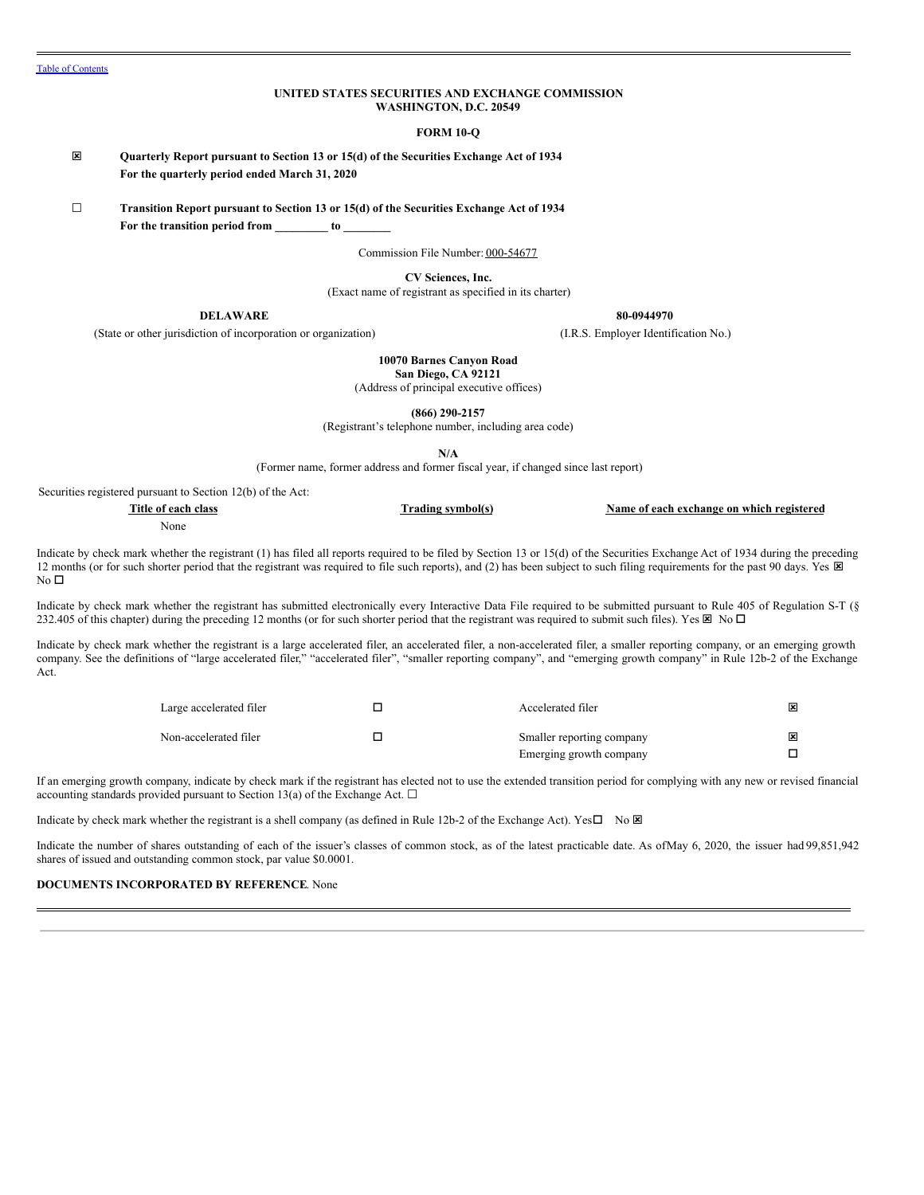#### **UNITED STATES SECURITIES AND EXCHANGE COMMISSION WASHINGTON, D.C. 20549**

#### **FORM 10-Q**

ý **Quarterly Report pursuant to Section 13 or 15(d) of the Securities Exchange Act of 1934 For the quarterly period ended March 31, 2020**

☐ **Transition Report pursuant to Section 13 or 15(d) of the Securities Exchange Act of 1934 For the transition period from \_\_\_\_\_\_\_\_\_ to \_\_\_\_\_\_\_\_**

Commission File Number: 000-54677

**CV Sciences, Inc.**

(Exact name of registrant as specified in its charter)

**DELAWARE 80-0944970**

(State or other jurisdiction of incorporation or organization) (I.R.S. Employer Identification No.)

**10070 Barnes Canyon Road**

**San Diego, CA 92121** (Address of principal executive offices)

**(866) 290-2157**

(Registrant's telephone number, including area code)

**N/A**

(Former name, former address and former fiscal year, if changed since last report)

Securities registered pursuant to Section 12(b) of the Act:

| Title of each class | Frading symbol(s) | Name of each exchange on which registered |
|---------------------|-------------------|-------------------------------------------|
| None                |                   |                                           |

Indicate by check mark whether the registrant (1) has filed all reports required to be filed by Section 13 or 15(d) of the Securities Exchange Act of 1934 during the preceding 12 months (or for such shorter period that the registrant was required to file such reports), and (2) has been subject to such filing requirements for the past 90 days. Yes  $\boxtimes$  $No<sub>D</sub>$ 

Indicate by check mark whether the registrant has submitted electronically every Interactive Data File required to be submitted pursuant to Rule 405 of Regulation S-T (§ 232.405 of this chapter) during the preceding 12 months (or for such shorter period that the registrant was required to submit such files). Yes  $\boxtimes$  No  $\Box$ 

Indicate by check mark whether the registrant is a large accelerated filer, an accelerated filer, a non-accelerated filer, a smaller reporting company, or an emerging growth company. See the definitions of "large accelerated filer," "accelerated filer", "smaller reporting company", and "emerging growth company" in Rule 12b-2 of the Exchange Act.

| Large accelerated filer | Accelerated filer         | ∣× |
|-------------------------|---------------------------|----|
| Non-accelerated filer   | Smaller reporting company | ×  |
|                         | Emerging growth company   |    |

If an emerging growth company, indicate by check mark if the registrant has elected not to use the extended transition period for complying with any new or revised financial accounting standards provided pursuant to Section 13(a) of the Exchange Act.  $\square$ 

Indicate by check mark whether the registrant is a shell company (as defined in Rule 12b-2 of the Exchange Act). Yes $\square$  No  $\boxtimes$ 

Indicate the number of shares outstanding of each of the issuer's classes of common stock, as of the latest practicable date. As ofMay 6, 2020, the issuer had 99,851,942 shares of issued and outstanding common stock, par value \$0.0001.

## **DOCUMENTS INCORPORATED BY REFERENCE**. None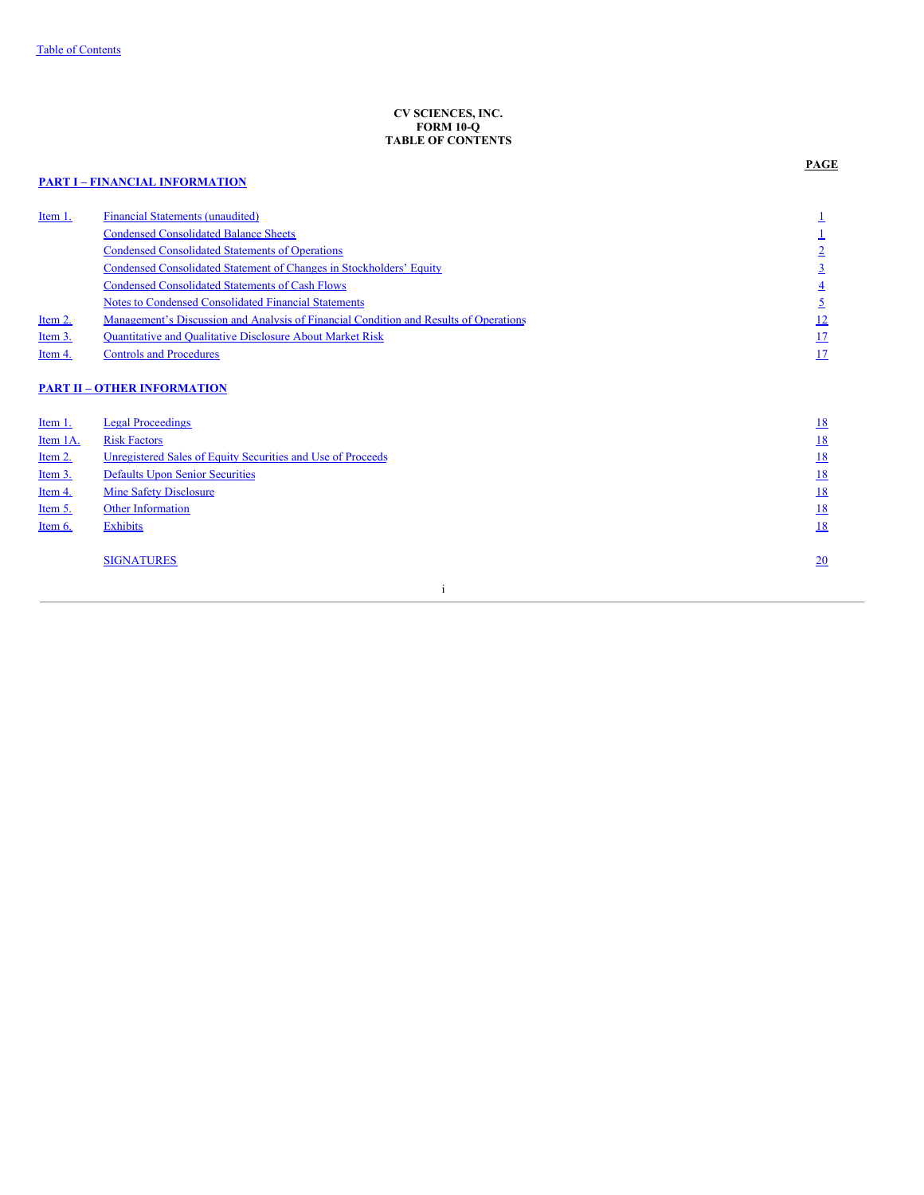# **CV SCIENCES, INC. FORM 10-Q TABLE OF CONTENTS**

# <span id="page-1-0"></span>**PART I – FINANCIAL [INFORMATION](#page-2-0)**

**PAGE**

| Item 1.        | <b>Financial Statements (unaudited)</b>                                               |                 |
|----------------|---------------------------------------------------------------------------------------|-----------------|
|                | <b>Condensed Consolidated Balance Sheets</b>                                          |                 |
|                | <b>Condensed Consolidated Statements of Operations</b>                                |                 |
|                | Condensed Consolidated Statement of Changes in Stockholders' Equity                   |                 |
|                | <b>Condensed Consolidated Statements of Cash Flows</b>                                | $\overline{4}$  |
|                | Notes to Condensed Consolidated Financial Statements                                  |                 |
| <u>Item 2.</u> | Management's Discussion and Analysis of Financial Condition and Results of Operations | $\overline{12}$ |
| Item 3.        | <b>Quantitative and Qualitative Disclosure About Market Risk</b>                      | 17              |
| Item 4.        | <b>Controls and Procedures</b>                                                        | 17              |
|                | <b>PART II - OTHER INFORMATION</b>                                                    |                 |

| Item 1.   | <b>Legal Proceedings</b>                                    | <u>18</u>       |
|-----------|-------------------------------------------------------------|-----------------|
| Item 1A.  | <b>Risk Factors</b>                                         | <u>18</u>       |
| Item 2.   | Unregistered Sales of Equity Securities and Use of Proceeds | <u>18</u>       |
| Item $3.$ | <b>Defaults Upon Senior Securities</b>                      | <u>18</u>       |
| Item 4.   | <b>Mine Safety Disclosure</b>                               | <u>18</u>       |
| Item 5.   | Other Information                                           | <u>18</u>       |
| Item 6.   | <b>Exhibits</b>                                             | <u>18</u>       |
|           |                                                             |                 |
|           | <b>SIGNATURES</b>                                           | $\overline{20}$ |
|           |                                                             |                 |

i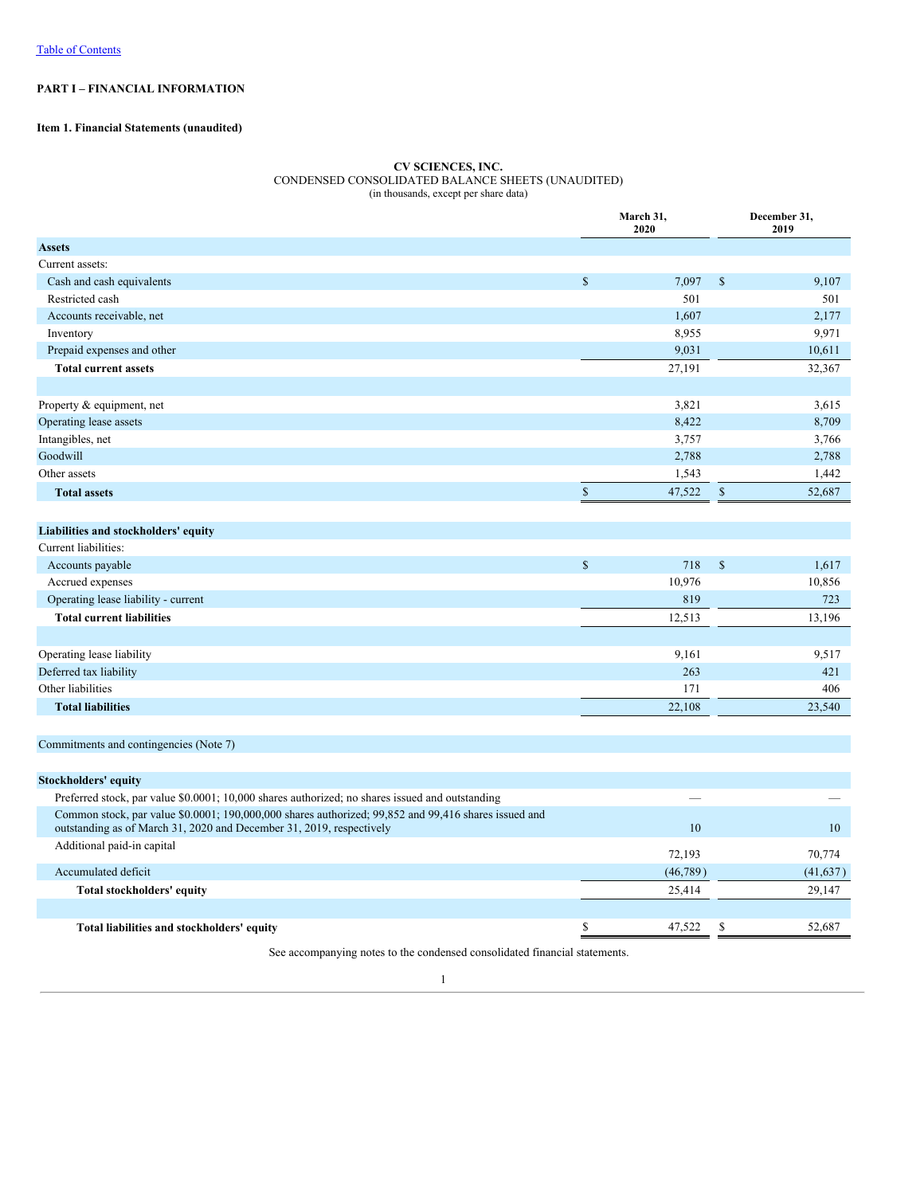# <span id="page-2-1"></span><span id="page-2-0"></span>**PART I – FINANCIAL INFORMATION**

# <span id="page-2-2"></span>**Item 1. Financial Statements (unaudited)**

#### **CV SCIENCES, INC.** CONDENSED CONSOLIDATED BALANCE SHEETS (UNAUDITED) (in thousands, except per share data)

|                                                                                                                                                                              |               | March 31,<br>2020 | December 31,<br>2019 |           |  |
|------------------------------------------------------------------------------------------------------------------------------------------------------------------------------|---------------|-------------------|----------------------|-----------|--|
| <b>Assets</b>                                                                                                                                                                |               |                   |                      |           |  |
| Current assets:                                                                                                                                                              |               |                   |                      |           |  |
| Cash and cash equivalents                                                                                                                                                    | $\mathsf{\$}$ | 7,097             | $\mathbb{S}$         | 9,107     |  |
| Restricted cash                                                                                                                                                              |               | 501               |                      | 501       |  |
| Accounts receivable, net                                                                                                                                                     |               | 1,607             |                      | 2,177     |  |
| Inventory                                                                                                                                                                    |               | 8,955             |                      | 9,971     |  |
| Prepaid expenses and other                                                                                                                                                   |               | 9,031             |                      | 10,611    |  |
| <b>Total current assets</b>                                                                                                                                                  |               | 27,191            |                      | 32,367    |  |
| Property & equipment, net                                                                                                                                                    |               | 3,821             |                      | 3,615     |  |
| Operating lease assets                                                                                                                                                       |               | 8,422             |                      | 8,709     |  |
| Intangibles, net                                                                                                                                                             |               | 3,757             |                      | 3,766     |  |
| Goodwill                                                                                                                                                                     |               | 2,788             |                      | 2,788     |  |
| Other assets                                                                                                                                                                 |               | 1,543             |                      | 1,442     |  |
| <b>Total assets</b>                                                                                                                                                          | $\mathbb{S}$  | 47,522            | $\mathbb{S}$         | 52,687    |  |
| Liabilities and stockholders' equity                                                                                                                                         |               |                   |                      |           |  |
| Current liabilities:                                                                                                                                                         |               |                   |                      |           |  |
| Accounts payable                                                                                                                                                             | $\mathsf{\$}$ | 718               | $\mathbb{S}$         | 1,617     |  |
| Accrued expenses                                                                                                                                                             |               | 10,976            |                      | 10,856    |  |
| Operating lease liability - current                                                                                                                                          |               | 819               |                      | 723       |  |
| <b>Total current liabilities</b>                                                                                                                                             |               | 12,513            |                      | 13,196    |  |
|                                                                                                                                                                              |               |                   |                      |           |  |
| Operating lease liability                                                                                                                                                    |               | 9,161             |                      | 9,517     |  |
| Deferred tax liability                                                                                                                                                       |               | 263               |                      | 421       |  |
| Other liabilities                                                                                                                                                            |               | 171               |                      | 406       |  |
| <b>Total liabilities</b>                                                                                                                                                     |               | 22,108            |                      | 23,540    |  |
| Commitments and contingencies (Note 7)                                                                                                                                       |               |                   |                      |           |  |
| <b>Stockholders' equity</b>                                                                                                                                                  |               |                   |                      |           |  |
| Preferred stock, par value \$0.0001; 10,000 shares authorized; no shares issued and outstanding                                                                              |               |                   |                      |           |  |
| Common stock, par value \$0.0001; 190,000,000 shares authorized; 99,852 and 99,416 shares issued and<br>outstanding as of March 31, 2020 and December 31, 2019, respectively |               | 10                |                      | 10        |  |
| Additional paid-in capital                                                                                                                                                   |               | 72,193            |                      | 70,774    |  |
| Accumulated deficit                                                                                                                                                          |               | (46, 789)         |                      | (41, 637) |  |
| Total stockholders' equity                                                                                                                                                   |               | 25,414            |                      | 29,147    |  |
|                                                                                                                                                                              |               |                   |                      |           |  |
| Total liabilities and stockholders' equity                                                                                                                                   | \$            | 47,522            | $\mathbb S$          | 52,687    |  |

See accompanying notes to the condensed consolidated financial statements.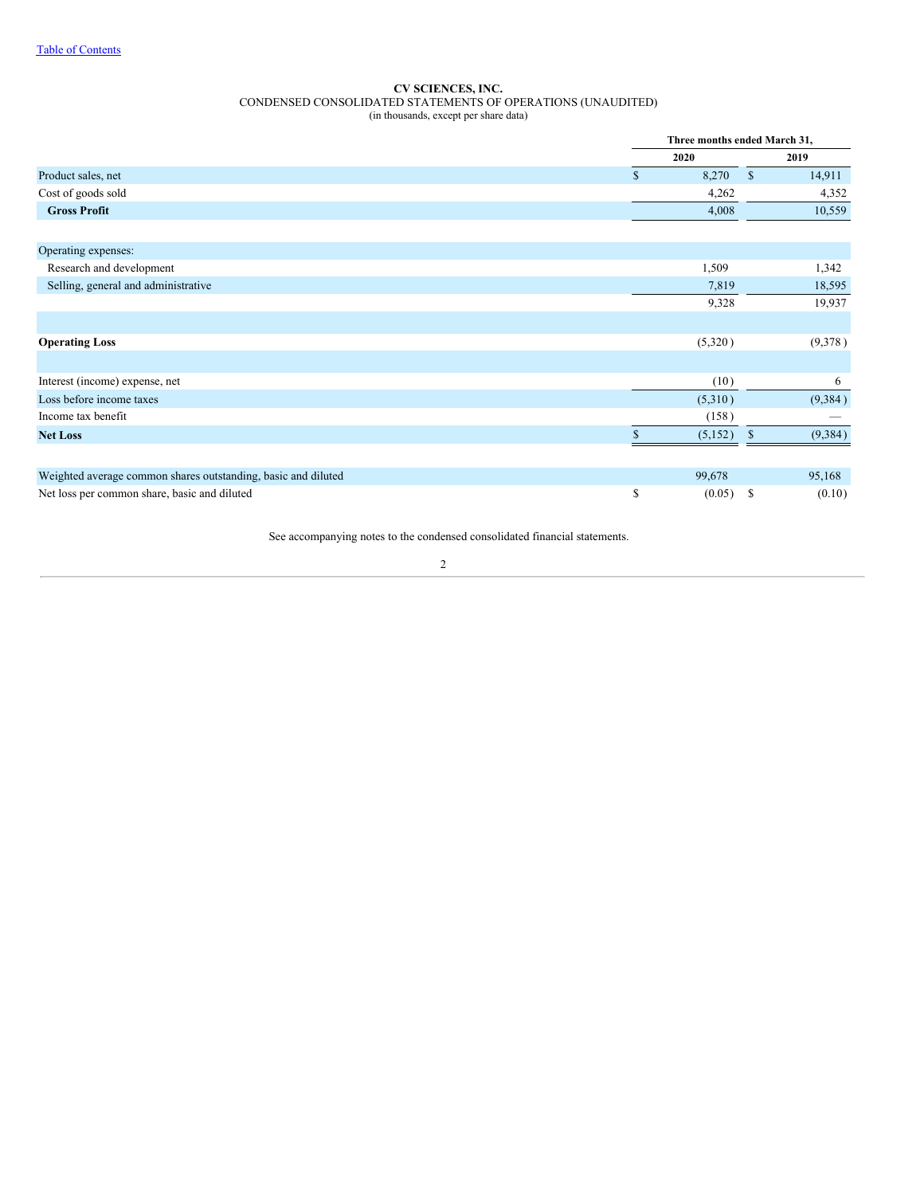# **CV SCIENCES, INC.** CONDENSED CONSOLIDATED STATEMENTS OF OPERATIONS (UNAUDITED)

| (in thousands, except per share data) |  |
|---------------------------------------|--|
|---------------------------------------|--|

<span id="page-3-0"></span>

|                                                               |              | Three months ended March 31, |               |          |  |  |
|---------------------------------------------------------------|--------------|------------------------------|---------------|----------|--|--|
|                                                               |              | 2020                         |               | 2019     |  |  |
| Product sales, net                                            | $\mathbb{S}$ | 8,270                        | $\mathbb{S}$  | 14,911   |  |  |
| Cost of goods sold                                            |              | 4,262                        |               | 4,352    |  |  |
| <b>Gross Profit</b>                                           |              | 4,008                        |               | 10,559   |  |  |
|                                                               |              |                              |               |          |  |  |
| Operating expenses:                                           |              |                              |               |          |  |  |
| Research and development                                      |              | 1,509                        |               | 1,342    |  |  |
| Selling, general and administrative                           |              | 7,819                        |               | 18,595   |  |  |
|                                                               |              | 9,328                        |               | 19,937   |  |  |
|                                                               |              |                              |               |          |  |  |
| <b>Operating Loss</b>                                         |              | (5,320)                      |               | (9,378)  |  |  |
|                                                               |              |                              |               |          |  |  |
| Interest (income) expense, net                                |              | (10)                         |               | 6        |  |  |
| Loss before income taxes                                      |              | (5,310)                      |               | (9, 384) |  |  |
| Income tax benefit                                            |              | (158)                        |               |          |  |  |
| <b>Net Loss</b>                                               |              | (5,152)                      | <sup>\$</sup> | (9, 384) |  |  |
|                                                               |              |                              |               |          |  |  |
| Weighted average common shares outstanding, basic and diluted |              | 99,678                       |               | 95,168   |  |  |
| Net loss per common share, basic and diluted                  | S            | (0.05)                       | <sup>S</sup>  | (0.10)   |  |  |

See accompanying notes to the condensed consolidated financial statements.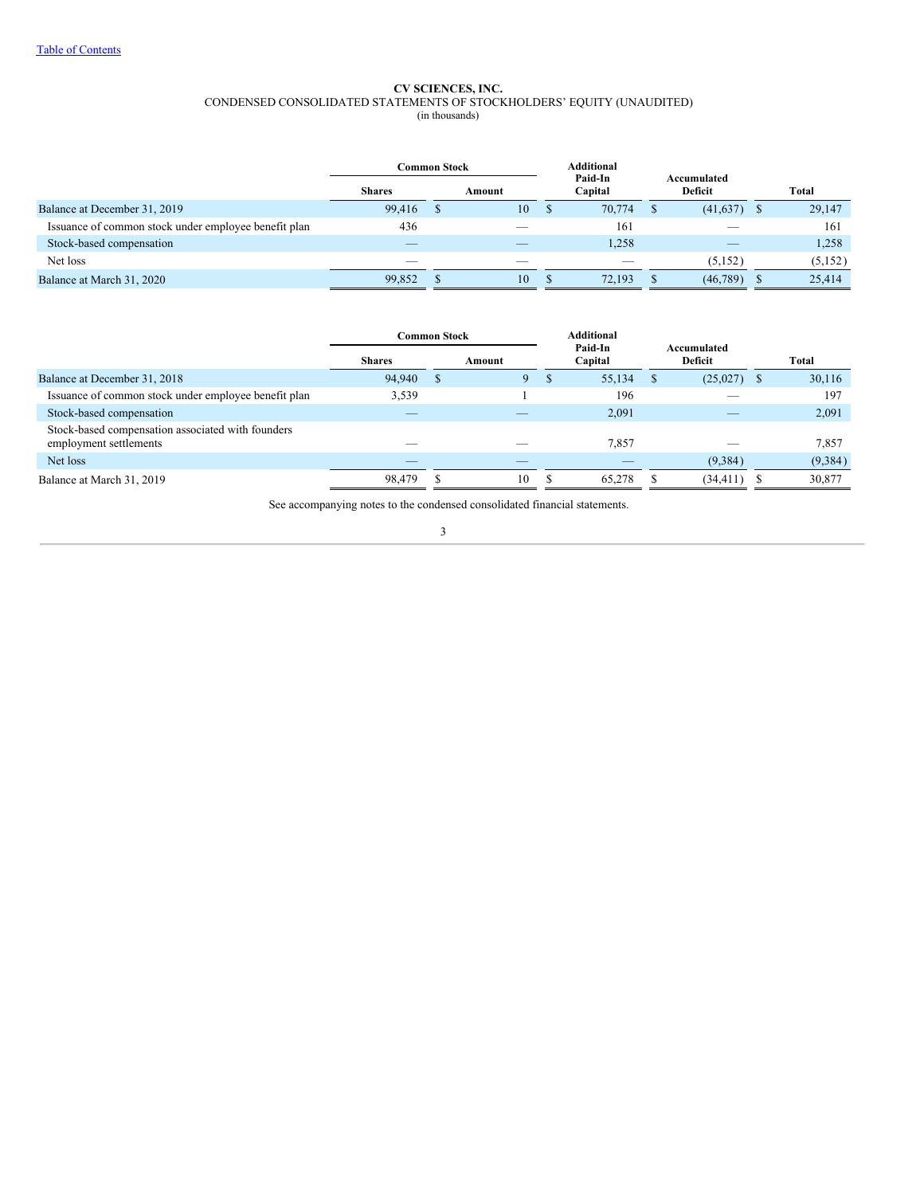#### **CV SCIENCES, INC.** CONDENSED CONSOLIDATED STATEMENTS OF STOCKHOLDERS' EQUITY (UNAUDITED) (in thousands)

<span id="page-4-0"></span>

|                                                      | Common Stock<br><b>Shares</b> | Amount                   | <b>Additional</b><br>Paid-In<br>Capital | Accumulated<br>Deficit | Total   |
|------------------------------------------------------|-------------------------------|--------------------------|-----------------------------------------|------------------------|---------|
|                                                      |                               |                          |                                         |                        |         |
| Balance at December 31, 2019                         | 99,416                        | 10                       | 70,774                                  | $(41,637)$ \$          | 29,147  |
| Issuance of common stock under employee benefit plan | 436                           | $\overline{\phantom{a}}$ | 161                                     |                        | 161     |
| Stock-based compensation                             | _                             |                          | 1,258                                   |                        | 1,258   |
| Net loss                                             |                               |                          | $\overline{\phantom{a}}$                | (5,152)                | (5,152) |
| Balance at March 31, 2020                            | 99,852                        | 10                       | 72,193                                  | (46, 789)              | 25,414  |

|                                                                             | <b>Common Stock</b> |        | <b>Additional</b> |                    |  |                        |          |
|-----------------------------------------------------------------------------|---------------------|--------|-------------------|--------------------|--|------------------------|----------|
|                                                                             | <b>Shares</b>       | Amount |                   | Paid-In<br>Capital |  | Accumulated<br>Deficit | Total    |
| Balance at December 31, 2018                                                | 94,940              | 9      |                   | 55,134             |  | $(25,027)$ \$          | 30,116   |
| Issuance of common stock under employee benefit plan                        | 3,539               |        |                   | 196                |  |                        | 197      |
| Stock-based compensation                                                    |                     |        |                   | 2,091              |  |                        | 2,091    |
| Stock-based compensation associated with founders<br>employment settlements |                     |        |                   | 7,857              |  |                        | 7,857    |
| Net loss                                                                    |                     |        |                   |                    |  | (9,384)                | (9, 384) |
| Balance at March 31, 2019                                                   | 98,479              | 10     |                   | 65,278             |  | (34, 411)              | 30,877   |

See accompanying notes to the condensed consolidated financial statements.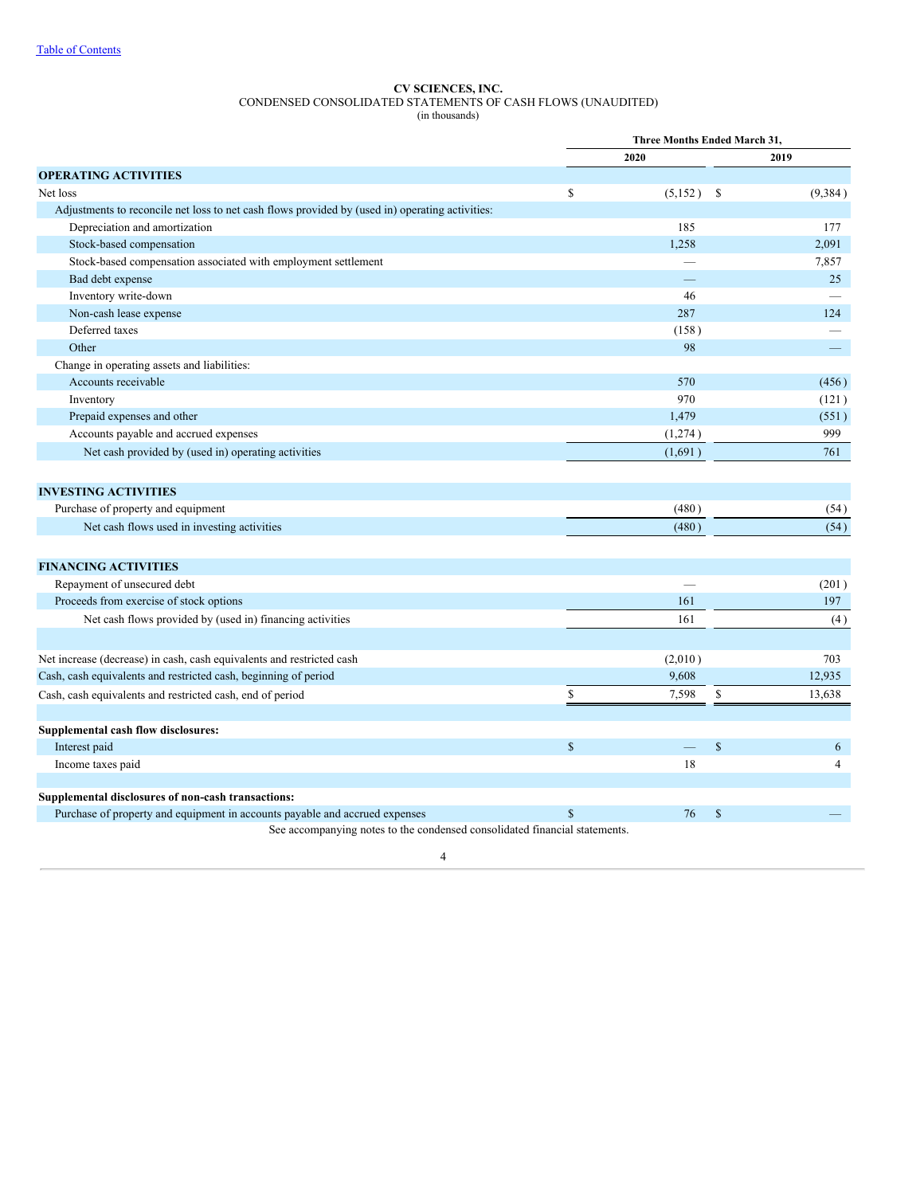# **CV SCIENCES, INC.** CONDENSED CONSOLIDATED STATEMENTS OF CASH FLOWS (UNAUDITED)

(in thousands)

<span id="page-5-0"></span>

|                                                                                                 | Three Months Ended March 31, |         |               |                          |
|-------------------------------------------------------------------------------------------------|------------------------------|---------|---------------|--------------------------|
|                                                                                                 |                              | 2020    | 2019          |                          |
| <b>OPERATING ACTIVITIES</b>                                                                     |                              |         |               |                          |
| Net loss                                                                                        | S                            | (5,152) | $\mathbb{S}$  | (9,384)                  |
| Adjustments to reconcile net loss to net cash flows provided by (used in) operating activities: |                              |         |               |                          |
| Depreciation and amortization                                                                   |                              | 185     |               | 177                      |
| Stock-based compensation                                                                        |                              | 1,258   |               | 2,091                    |
| Stock-based compensation associated with employment settlement                                  |                              |         |               | 7,857                    |
| Bad debt expense                                                                                |                              |         |               | 25                       |
| Inventory write-down                                                                            |                              | 46      |               | $\overline{\phantom{0}}$ |
| Non-cash lease expense                                                                          |                              | 287     |               | 124                      |
| Deferred taxes                                                                                  |                              | (158)   |               |                          |
| Other                                                                                           |                              | 98      |               |                          |
| Change in operating assets and liabilities:                                                     |                              |         |               |                          |
| Accounts receivable                                                                             |                              | 570     |               | (456)                    |
| Inventory                                                                                       |                              | 970     |               | (121)                    |
| Prepaid expenses and other                                                                      |                              | 1,479   |               | (551)                    |
| Accounts payable and accrued expenses                                                           |                              | (1,274) |               | 999                      |
| Net cash provided by (used in) operating activities                                             |                              | (1,691) |               | 761                      |
|                                                                                                 |                              |         |               |                          |
| <b>INVESTING ACTIVITIES</b>                                                                     |                              |         |               |                          |
| Purchase of property and equipment                                                              |                              | (480)   |               | (54)                     |
| Net cash flows used in investing activities                                                     |                              | (480)   |               | (54)                     |
| <b>FINANCING ACTIVITIES</b>                                                                     |                              |         |               |                          |
| Repayment of unsecured debt                                                                     |                              |         |               | (201)                    |
|                                                                                                 |                              |         |               |                          |
| Proceeds from exercise of stock options                                                         |                              | 161     |               | 197                      |
| Net cash flows provided by (used in) financing activities                                       |                              | 161     |               | (4)                      |
| Net increase (decrease) in cash, cash equivalents and restricted cash                           |                              | (2,010) |               | 703                      |
| Cash, cash equivalents and restricted cash, beginning of period                                 |                              | 9,608   |               | 12.935                   |
| Cash, cash equivalents and restricted cash, end of period                                       | $\mathbb{S}$                 | 7,598   | \$            | 13,638                   |
|                                                                                                 |                              |         |               |                          |
| Supplemental cash flow disclosures:                                                             |                              |         |               |                          |
| Interest paid                                                                                   | $\mathbf S$                  |         | $\mathbf S$   | 6                        |
| Income taxes paid                                                                               |                              | 18      |               | $\overline{4}$           |
| Supplemental disclosures of non-cash transactions:                                              |                              |         |               |                          |
| Purchase of property and equipment in accounts payable and accrued expenses                     | $\mathbb{S}$                 | 76      | $\mathcal{S}$ |                          |
| See accompanying notes to the condensed consolidated financial statements.                      |                              |         |               |                          |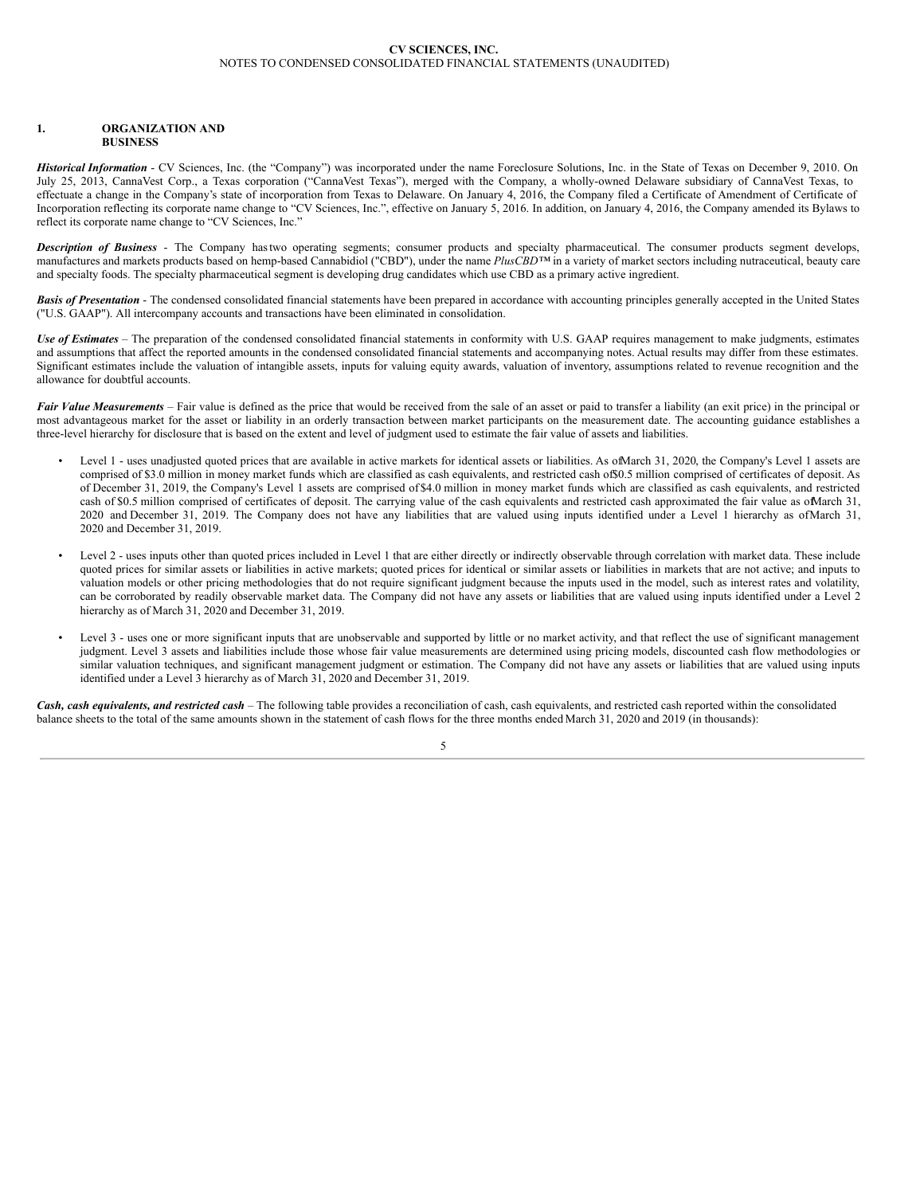#### <span id="page-6-0"></span>**1. ORGANIZATION AND BUSINESS**

*Historical Information* - CV Sciences, Inc. (the "Company") was incorporated under the name Foreclosure Solutions, Inc. in the State of Texas on December 9, 2010. On July 25, 2013, CannaVest Corp., a Texas corporation ("CannaVest Texas"), merged with the Company, a wholly-owned Delaware subsidiary of CannaVest Texas, to effectuate a change in the Company's state of incorporation from Texas to Delaware. On January 4, 2016, the Company filed a Certificate of Amendment of Certificate of Incorporation reflecting its corporate name change to "CV Sciences, Inc.", effective on January 5, 2016. In addition, on January 4, 2016, the Company amended its Bylaws to reflect its corporate name change to "CV Sciences, Inc."

*Description of Business* - The Company hastwo operating segments; consumer products and specialty pharmaceutical. The consumer products segment develops, manufactures and markets products based on hemp-based Cannabidiol ("CBD"), under the name *PlusCBD™* in a variety of market sectors including nutraceutical, beauty care and specialty foods. The specialty pharmaceutical segment is developing drug candidates which use CBD as a primary active ingredient.

**Basis of Presentation** - The condensed consolidated financial statements have been prepared in accordance with accounting principles generally accepted in the United States ("U.S. GAAP"). All intercompany accounts and transactions have been eliminated in consolidation.

*Use of Estimates* – The preparation of the condensed consolidated financial statements in conformity with U.S. GAAP requires management to make judgments, estimates and assumptions that affect the reported amounts in the condensed consolidated financial statements and accompanying notes. Actual results may differ from these estimates. Significant estimates include the valuation of intangible assets, inputs for valuing equity awards, valuation of inventory, assumptions related to revenue recognition and the allowance for doubtful accounts.

**Fair Value Measurements** – Fair value is defined as the price that would be received from the sale of an asset or paid to transfer a liability (an exit price) in the principal or most advantageous market for the asset or liability in an orderly transaction between market participants on the measurement date. The accounting guidance establishes a three-level hierarchy for disclosure that is based on the extent and level of judgment used to estimate the fair value of assets and liabilities.

- Level 1 uses unadjusted quoted prices that are available in active markets for identical assets or liabilities. As ofMarch 31, 2020, the Company's Level 1 assets are comprised of \$3.0 million in money market funds which are classified as cash equivalents, and restricted cash of\$0.5 million comprised of certificates of deposit. As of December 31, 2019, the Company's Level 1 assets are comprised of \$4.0 million in money market funds which are classified as cash equivalents, and restricted cash of \$0.5 million comprised of certificates of deposit. The carrying value of the cash equivalents and restricted cash approximated the fair value as ofMarch 31, 2020 and December 31, 2019. The Company does not have any liabilities that are valued using inputs identified under a Level 1 hierarchy as ofMarch 31, 2020 and December 31, 2019.
- Level 2 uses inputs other than quoted prices included in Level 1 that are either directly or indirectly observable through correlation with market data. These include quoted prices for similar assets or liabilities in active markets; quoted prices for identical or similar assets or liabilities in markets that are not active; and inputs to valuation models or other pricing methodologies that do not require significant judgment because the inputs used in the model, such as interest rates and volatility, can be corroborated by readily observable market data. The Company did not have any assets or liabilities that are valued using inputs identified under a Level 2 hierarchy as of March 31, 2020 and December 31, 2019.
- Level 3 uses one or more significant inputs that are unobservable and supported by little or no market activity, and that reflect the use of significant management judgment. Level 3 assets and liabilities include those whose fair value measurements are determined using pricing models, discounted cash flow methodologies or similar valuation techniques, and significant management judgment or estimation. The Company did not have any assets or liabilities that are valued using inputs identified under a Level 3 hierarchy as of March 31, 2020 and December 31, 2019.

*Cash, cash equivalents, and restricted cash* – The following table provides a reconciliation of cash, cash equivalents, and restricted cash reported within the consolidated balance sheets to the total of the same amounts shown in the statement of cash flows for the three months ended March 31, 2020 and 2019 (in thousands):

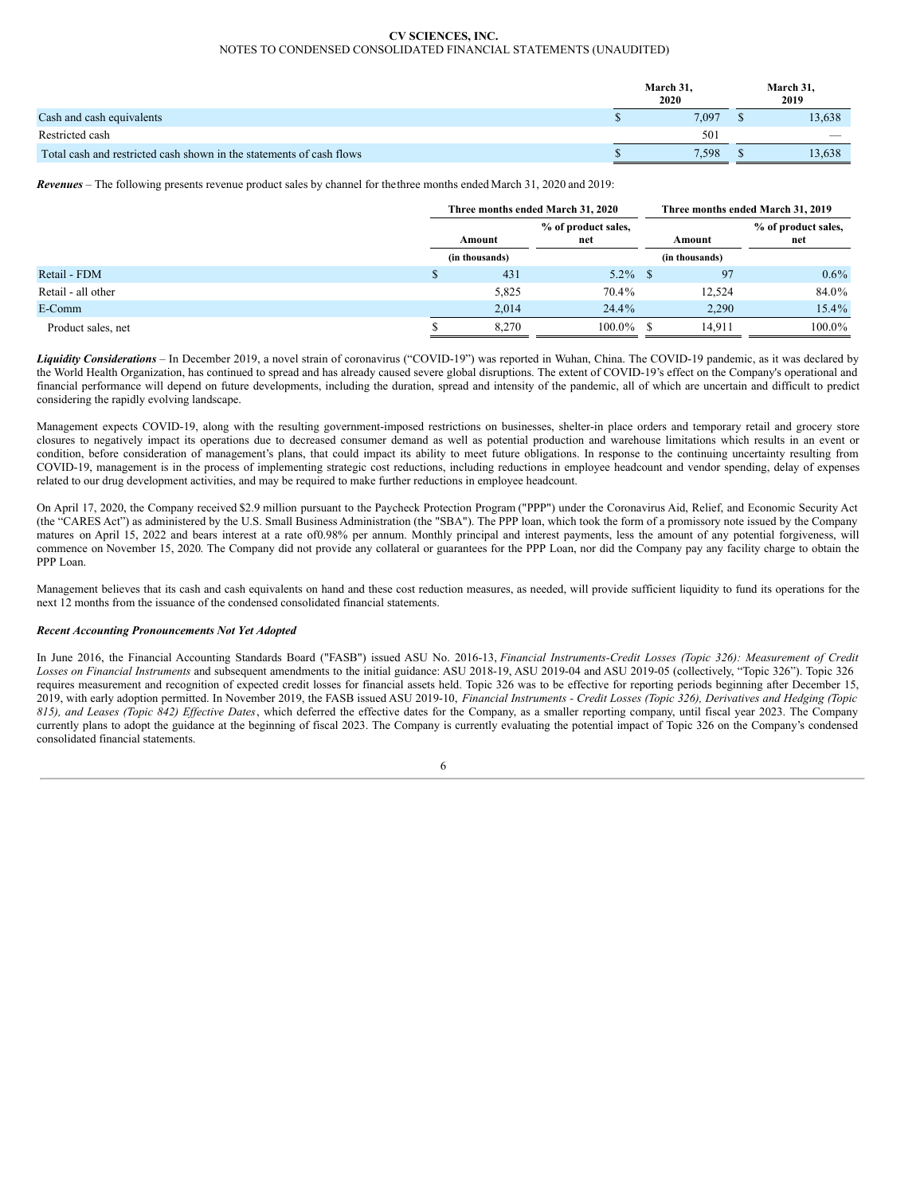|                                                                      | March 31. | March 31,<br>2019 |  |                          |
|----------------------------------------------------------------------|-----------|-------------------|--|--------------------------|
| Cash and cash equivalents                                            |           | 7.097             |  | 13.638                   |
| Restricted cash                                                      |           | 501               |  | $\overline{\phantom{a}}$ |
| Total cash and restricted cash shown in the statements of cash flows |           | 7.598             |  | 13.638                   |

*Revenues* – The following presents revenue product sales by channel for thethree months ended March 31, 2020 and 2019:

|                    |        | Three months ended March 31, 2020 |                            |  | Three months ended March 31, 2019 |                            |  |  |
|--------------------|--------|-----------------------------------|----------------------------|--|-----------------------------------|----------------------------|--|--|
|                    | Amount |                                   | % of product sales,<br>net |  | Amount                            | % of product sales,<br>net |  |  |
|                    |        | (in thousands)                    |                            |  | (in thousands)                    |                            |  |  |
| Retail - FDM       |        | 431                               | $5.2\%$ \$                 |  | 97                                | $0.6\%$                    |  |  |
| Retail - all other |        | 5,825                             | 70.4%                      |  | 12.524                            | 84.0%                      |  |  |
| E-Comm             |        | 2,014                             | 24.4%                      |  | 2,290                             | $15.4\%$                   |  |  |
| Product sales, net |        | 8,270                             | $100.0\%$                  |  | 14.911                            | 100.0%                     |  |  |

*Liquidity Considerations* – In December 2019, a novel strain of coronavirus ("COVID-19") was reported in Wuhan, China. The COVID-19 pandemic, as it was declared by the World Health Organization, has continued to spread and has already caused severe global disruptions. The extent of COVID-19's effect on the Company's operational and financial performance will depend on future developments, including the duration, spread and intensity of the pandemic, all of which are uncertain and difficult to predict considering the rapidly evolving landscape.

Management expects COVID-19, along with the resulting government-imposed restrictions on businesses, shelter-in place orders and temporary retail and grocery store closures to negatively impact its operations due to decreased consumer demand as well as potential production and warehouse limitations which results in an event or condition, before consideration of management's plans, that could impact its ability to meet future obligations. In response to the continuing uncertainty resulting from COVID-19, management is in the process of implementing strategic cost reductions, including reductions in employee headcount and vendor spending, delay of expenses related to our drug development activities, and may be required to make further reductions in employee headcount.

On April 17, 2020, the Company received \$2.9 million pursuant to the Paycheck Protection Program ("PPP") under the Coronavirus Aid, Relief, and Economic Security Act (the "CARES Act") as administered by the U.S. Small Business Administration (the "SBA"). The PPP loan, which took the form of a promissory note issued by the Company matures on April 15, 2022 and bears interest at a rate of0.98% per annum. Monthly principal and interest payments, less the amount of any potential forgiveness, will commence on November 15, 2020. The Company did not provide any collateral or guarantees for the PPP Loan, nor did the Company pay any facility charge to obtain the PPP Loan.

Management believes that its cash and cash equivalents on hand and these cost reduction measures, as needed, will provide sufficient liquidity to fund its operations for the next 12 months from the issuance of the condensed consolidated financial statements.

## *Recent Accounting Pronouncements Not Yet Adopted*

In June 2016, the Financial Accounting Standards Board ("FASB") issued ASU No. 2016-13, *Financial Instruments-Credit Losses (Topic 326): Measurement of Credit Losses on Financial Instruments* and subsequent amendments to the initial guidance: ASU 2018-19, ASU 2019-04 and ASU 2019-05 (collectively, "Topic 326"). Topic 326 requires measurement and recognition of expected credit losses for financial assets held. Topic 326 was to be effective for reporting periods beginning after December 15, 2019, with early adoption permitted. In November 2019, the FASB issued ASU 2019-10, Financial Instruments - Credit Losses (Topic 326), Derivatives and Hedging (Topic *815), and Leases (Topic 842) Ef ective Dates*, which deferred the effective dates for the Company, as a smaller reporting company, until fiscal year 2023. The Company currently plans to adopt the guidance at the beginning of fiscal 2023. The Company is currently evaluating the potential impact of Topic 326 on the Company's condensed consolidated financial statements.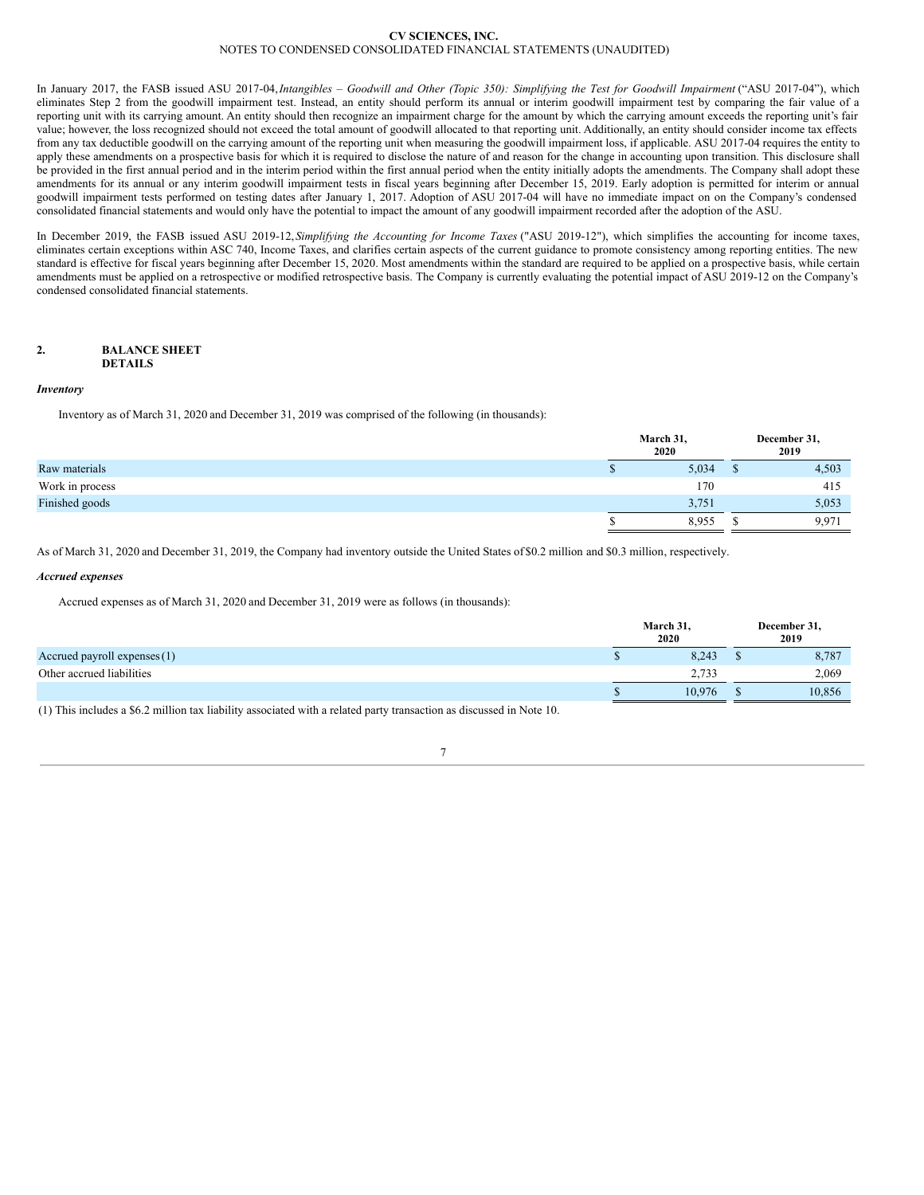In January 2017, the FASB issued ASU 2017-04, Intangibles - Goodwill and Other (Topic 350): Simplifying the Test for Goodwill Impairment ("ASU 2017-04"), which eliminates Step 2 from the goodwill impairment test. Instead, an entity should perform its annual or interim goodwill impairment test by comparing the fair value of a reporting unit with its carrying amount. An entity should then recognize an impairment charge for the amount by which the carrying amount exceeds the reporting unit's fair value; however, the loss recognized should not exceed the total amount of goodwill allocated to that reporting unit. Additionally, an entity should consider income tax effects from any tax deductible goodwill on the carrying amount of the reporting unit when measuring the goodwill impairment loss, if applicable. ASU 2017-04 requires the entity to apply these amendments on a prospective basis for which it is required to disclose the nature of and reason for the change in accounting upon transition. This disclosure shall be provided in the first annual period and in the interim period within the first annual period when the entity initially adopts the amendments. The Company shall adopt these amendments for its annual or any interim goodwill impairment tests in fiscal years beginning after December 15, 2019. Early adoption is permitted for interim or annual goodwill impairment tests performed on testing dates after January 1, 2017. Adoption of ASU 2017-04 will have no immediate impact on on the Company's condensed consolidated financial statements and would only have the potential to impact the amount of any goodwill impairment recorded after the adoption of the ASU.

In December 2019, the FASB issued ASU 2019-12,*Simplifying the Accounting for Income Taxes* ("ASU 2019-12"), which simplifies the accounting for income taxes, eliminates certain exceptions within ASC 740, Income Taxes, and clarifies certain aspects of the current guidance to promote consistency among reporting entities. The new standard is effective for fiscal years beginning after December 15, 2020. Most amendments within the standard are required to be applied on a prospective basis, while certain amendments must be applied on a retrospective or modified retrospective basis. The Company is currently evaluating the potential impact of ASU 2019-12 on the Company's condensed consolidated financial statements.

#### **2. BALANCE SHEET DETAILS**

## *Inventory*

Inventory as of March 31, 2020 and December 31, 2019 was comprised of the following (in thousands):

|                 | March 31,<br>2020 | December 31,<br>2019 |  |  |
|-----------------|-------------------|----------------------|--|--|
| Raw materials   | 5,034             | 4,503                |  |  |
| Work in process | 170               | 415                  |  |  |
| Finished goods  | 3,751             | 5,053                |  |  |
|                 | 8,955             | 9,971                |  |  |

As of March 31, 2020 and December 31, 2019, the Company had inventory outside the United States of \$0.2 million and \$0.3 million, respectively.

## *Accrued expenses*

Accrued expenses as of March 31, 2020 and December 31, 2019 were as follows (in thousands):

|                              | March 31,<br>2020 | December 31,<br>2019 |
|------------------------------|-------------------|----------------------|
| Accrued payroll expenses (1) | 8,243             | 8,787                |
| Other accrued liabilities    | 2,733             | 2,069                |
|                              | 10,976            | 10,856               |

(1) This includes a \$6.2 million tax liability associated with a related party transaction as discussed in Note 10.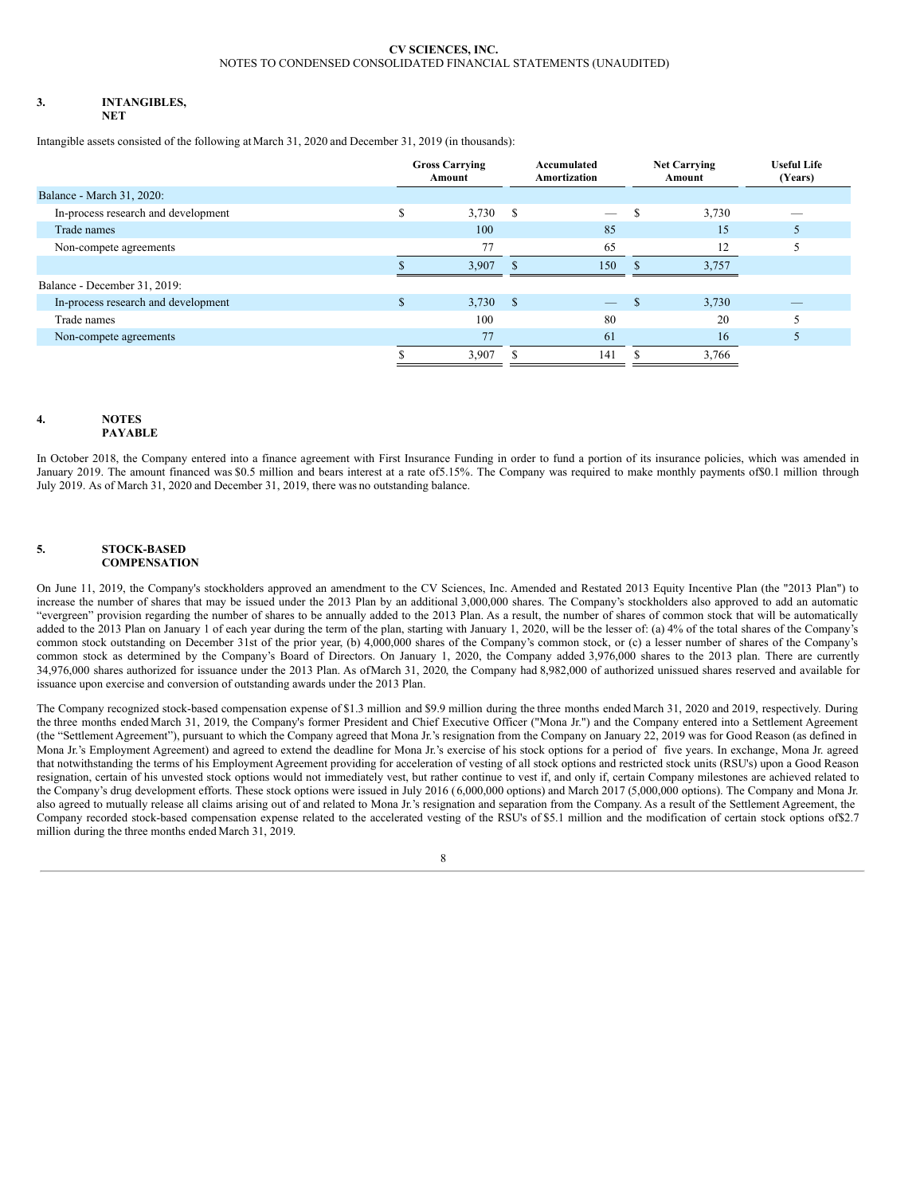#### **3. INTANGIBLES, NET**

Intangible assets consisted of the following atMarch 31, 2020 and December 31, 2019 (in thousands):

|                                     | <b>Gross Carrying</b><br>Amount |       |      | Accumulated<br>Amortization |       | <b>Net Carrying</b><br>Amount | <b>Useful Life</b><br>(Years) |
|-------------------------------------|---------------------------------|-------|------|-----------------------------|-------|-------------------------------|-------------------------------|
| Balance - March 31, 2020:           |                                 |       |      |                             |       |                               |                               |
| In-process research and development |                                 | 3,730 | - \$ | -                           |       | 3,730                         |                               |
| Trade names                         |                                 | 100   |      | 85                          |       | 15                            |                               |
| Non-compete agreements              |                                 | 77    |      | 65                          |       | 12                            |                               |
|                                     |                                 | 3.907 |      | 150                         |       | 3,757                         |                               |
| Balance - December 31, 2019:        |                                 |       |      |                             |       |                               |                               |
| In-process research and development | Φ.<br>ъ                         | 3,730 | - \$ |                             |       | 3,730                         |                               |
| Trade names                         |                                 | 100   |      | 80                          |       | 20                            |                               |
| Non-compete agreements              |                                 | 77    |      | 61                          |       | 16                            |                               |
|                                     |                                 | 3,907 |      | 141                         | 3,766 |                               |                               |

## **4. NOTES PAYABLE**

In October 2018, the Company entered into a finance agreement with First Insurance Funding in order to fund a portion of its insurance policies, which was amended in January 2019. The amount financed was \$0.5 million and bears interest at a rate of5.15%. The Company was required to make monthly payments of\$0.1 million through July 2019. As of March 31, 2020 and December 31, 2019, there was no outstanding balance.

#### **5. STOCK-BASED COMPENSATION**

On June 11, 2019, the Company's stockholders approved an amendment to the CV Sciences, Inc. Amended and Restated 2013 Equity Incentive Plan (the "2013 Plan") to increase the number of shares that may be issued under the 2013 Plan by an additional 3,000,000 shares. The Company's stockholders also approved to add an automatic "evergreen" provision regarding the number of shares to be annually added to the 2013 Plan. As a result, the number of shares of common stock that will be automatically added to the 2013 Plan on January 1 of each year during the term of the plan, starting with January 1, 2020, will be the lesser of: (a) 4% of the total shares of the Company's common stock outstanding on December 31st of the prior year, (b) 4,000,000 shares of the Company's common stock, or (c) a lesser number of shares of the Company's common stock as determined by the Company's Board of Directors. On January 1, 2020, the Company added 3,976,000 shares to the 2013 plan. There are currently 34,976,000 shares authorized for issuance under the 2013 Plan. As ofMarch 31, 2020, the Company had 8,982,000 of authorized unissued shares reserved and available for issuance upon exercise and conversion of outstanding awards under the 2013 Plan.

The Company recognized stock-based compensation expense of \$1.3 million and \$9.9 million during the three months ended March 31, 2020 and 2019, respectively. During the three months ended March 31, 2019, the Company's former President and Chief Executive Officer ("Mona Jr.") and the Company entered into a Settlement Agreement (the "Settlement Agreement"), pursuant to which the Company agreed that Mona Jr.'s resignation from the Company on January 22, 2019 was for Good Reason (as defined in Mona Jr.'s Employment Agreement) and agreed to extend the deadline for Mona Jr.'s exercise of his stock options for a period of five years. In exchange, Mona Jr. agreed that notwithstanding the terms of his Employment Agreement providing for acceleration of vesting of all stock options and restricted stock units (RSU's) upon a Good Reason resignation, certain of his unvested stock options would not immediately vest, but rather continue to vest if, and only if, certain Company milestones are achieved related to the Company's drug development efforts. These stock options were issued in July 2016 (6,000,000 options) and March 2017 (5,000,000 options). The Company and Mona Jr. also agreed to mutually release all claims arising out of and related to Mona Jr.'s resignation and separation from the Company. As a result of the Settlement Agreement, the Company recorded stock-based compensation expense related to the accelerated vesting of the RSU's of \$5.1 million and the modification of certain stock options of\$2.7 million during the three months ended March 31, 2019.

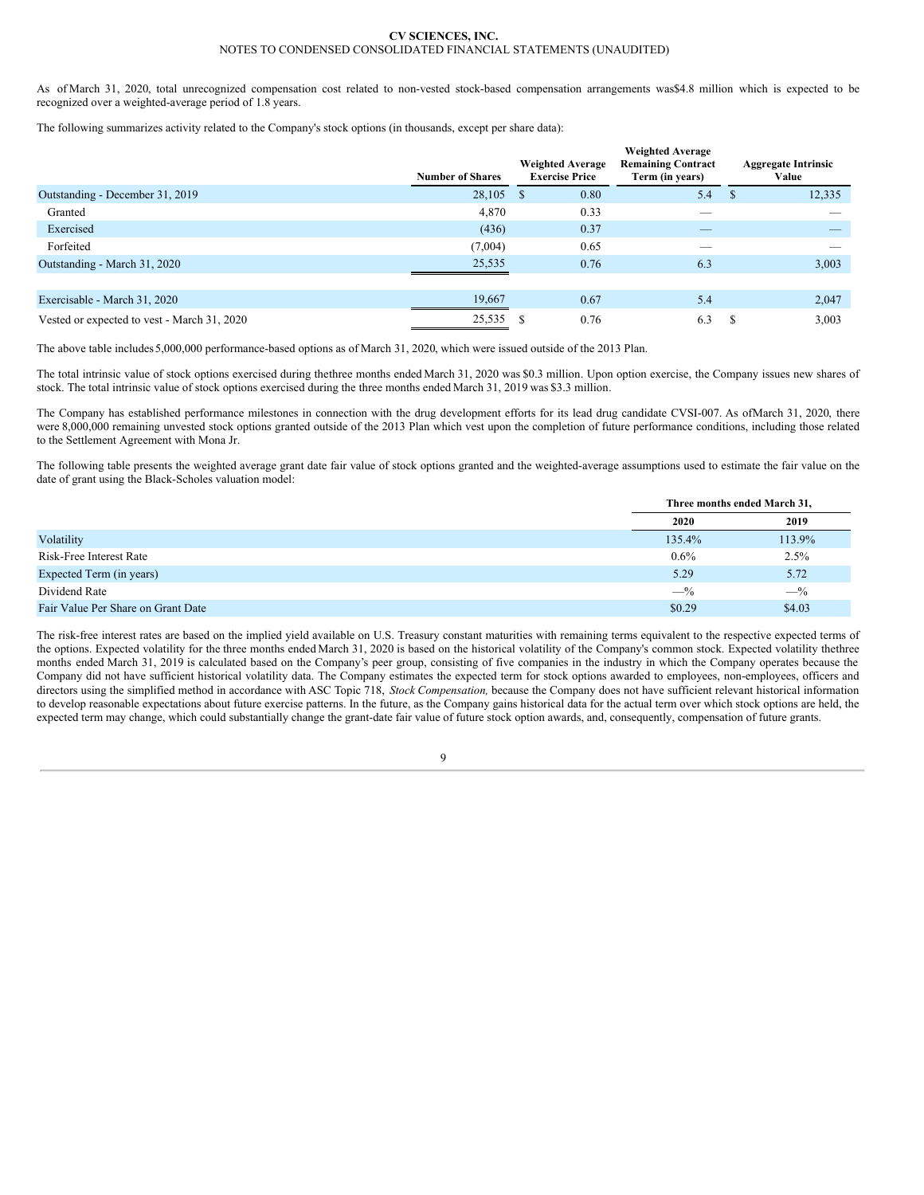#### **CV SCIENCES, INC.**

# NOTES TO CONDENSED CONSOLIDATED FINANCIAL STATEMENTS (UNAUDITED)

As of March 31, 2020, total unrecognized compensation cost related to non-vested stock-based compensation arrangements was\$4.8 million which is expected to be recognized over a weighted-average period of 1.8 years.

The following summarizes activity related to the Company's stock options (in thousands, except per share data):

|                                             | <b>Number of Shares</b> | <b>Weighted Average</b><br><b>Exercise Price</b> |      | <b>Weighted Average</b><br><b>Remaining Contract</b><br>Term (in years) |    | <b>Aggregate Intrinsic</b><br>Value |
|---------------------------------------------|-------------------------|--------------------------------------------------|------|-------------------------------------------------------------------------|----|-------------------------------------|
| Outstanding - December 31, 2019             | 28,105                  | - \$                                             | 0.80 | 5.4                                                                     | -S | 12,335                              |
| Granted                                     | 4,870                   |                                                  | 0.33 |                                                                         |    |                                     |
| Exercised                                   | (436)                   |                                                  | 0.37 | _                                                                       |    |                                     |
| Forfeited                                   | (7,004)                 |                                                  | 0.65 | __                                                                      |    |                                     |
| Outstanding - March 31, 2020                | 25,535                  |                                                  | 0.76 | 6.3                                                                     |    | 3,003                               |
|                                             |                         |                                                  |      |                                                                         |    |                                     |
| Exercisable - March 31, 2020                | 19,667                  |                                                  | 0.67 | 5.4                                                                     |    | 2,047                               |
| Vested or expected to vest - March 31, 2020 | 25,535                  |                                                  | 0.76 | 6.3                                                                     | -S | 3,003                               |

The above table includes5,000,000 performance-based options as of March 31, 2020, which were issued outside of the 2013 Plan.

The total intrinsic value of stock options exercised during thethree months ended March 31, 2020 was \$0.3 million. Upon option exercise, the Company issues new shares of stock. The total intrinsic value of stock options exercised during the three months ended March 31, 2019 was \$3.3 million.

The Company has established performance milestones in connection with the drug development efforts for its lead drug candidate CVSI-007. As ofMarch 31, 2020, there were 8,000,000 remaining unvested stock options granted outside of the 2013 Plan which vest upon the completion of future performance conditions, including those related to the Settlement Agreement with Mona Jr.

The following table presents the weighted average grant date fair value of stock options granted and the weighted-average assumptions used to estimate the fair value on the date of grant using the Black-Scholes valuation model:

|                                    | Three months ended March 31, |        |
|------------------------------------|------------------------------|--------|
|                                    | 2020                         | 2019   |
| Volatility                         | 135.4%                       | 113.9% |
| Risk-Free Interest Rate            | 0.6%                         | 2.5%   |
| Expected Term (in years)           | 5.29                         | 5.72   |
| Dividend Rate                      | $-$ %                        | $-$ %  |
| Fair Value Per Share on Grant Date | \$0.29                       | \$4.03 |

The risk-free interest rates are based on the implied yield available on U.S. Treasury constant maturities with remaining terms equivalent to the respective expected terms of the options. Expected volatility for the three months ended March 31, 2020 is based on the historical volatility of the Company's common stock. Expected volatility thethree months ended March 31, 2019 is calculated based on the Company's peer group, consisting of five companies in the industry in which the Company operates because the Company did not have sufficient historical volatility data. The Company estimates the expected term for stock options awarded to employees, non-employees, officers and directors using the simplified method in accordance with ASC Topic 718, *Stock Compensation,* because the Company does not have sufficient relevant historical information to develop reasonable expectations about future exercise patterns. In the future, as the Company gains historical data for the actual term over which stock options are held, the expected term may change, which could substantially change the grant-date fair value of future stock option awards, and, consequently, compensation of future grants.

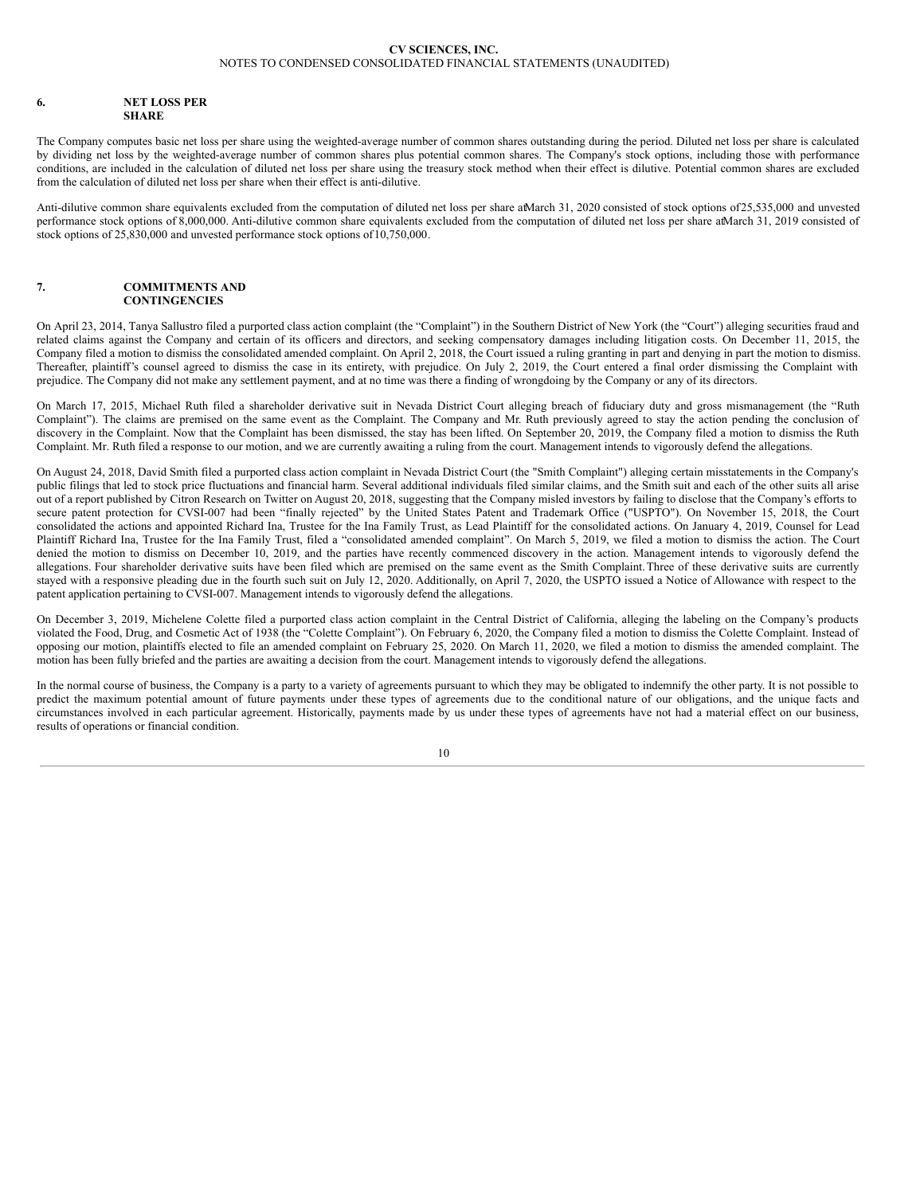#### **6. NET LOSS PER SHARE**

The Company computes basic net loss per share using the weighted-average number of common shares outstanding during the period. Diluted net loss per share is calculated by dividing net loss by the weighted-average number of common shares plus potential common shares. The Company's stock options, including those with performance conditions, are included in the calculation of diluted net loss per share using the treasury stock method when their effect is dilutive. Potential common shares are excluded from the calculation of diluted net loss per share when their effect is anti-dilutive.

Anti-dilutive common share equivalents excluded from the computation of diluted net loss per share aMarch 31, 2020 consisted of stock options of 25,535,000 and unvested performance stock options of 8,000,000. Anti-dilutive common share equivalents excluded from the computation of diluted net loss per share atMarch 31, 2019 consisted of stock options of 25,830,000 and unvested performance stock options of 10,750,000.

### **7. COMMITMENTS AND CONTINGENCIES**

On April 23, 2014, Tanya Sallustro filed a purported class action complaint (the "Complaint") in the Southern District of New York (the "Court") alleging securities fraud and related claims against the Company and certain of its officers and directors, and seeking compensatory damages including litigation costs. On December 11, 2015, the Company filed a motion to dismiss the consolidated amended complaint. On April 2, 2018, the Court issued a ruling granting in part and denying in part the motion to dismiss. Thereafter, plaintiff's counsel agreed to dismiss the case in its entirety, with prejudice. On July 2, 2019, the Court entered a final order dismissing the Complaint with prejudice. The Company did not make any settlement payment, and at no time was there a finding of wrongdoing by the Company or any of its directors.

On March 17, 2015, Michael Ruth filed a shareholder derivative suit in Nevada District Court alleging breach of fiduciary duty and gross mismanagement (the "Ruth Complaint"). The claims are premised on the same event as the Complaint. The Company and Mr. Ruth previously agreed to stay the action pending the conclusion of discovery in the Complaint. Now that the Complaint has been dismissed, the stay has been lifted. On September 20, 2019, the Company filed a motion to dismiss the Ruth Complaint. Mr. Ruth filed a response to our motion, and we are currently awaiting a ruling from the court. Management intends to vigorously defend the allegations.

On August 24, 2018, David Smith filed a purported class action complaint in Nevada District Court (the "Smith Complaint") alleging certain misstatements in the Company's public filings that led to stock price fluctuations and financial harm. Several additional individuals filed similar claims, and the Smith suit and each of the other suits all arise out of a report published by Citron Research on Twitter on August 20, 2018, suggesting that the Company misled investors by failing to disclose that the Company's efforts to secure patent protection for CVSI-007 had been "finally rejected" by the United States Patent and Trademark Office ("USPTO"). On November 15, 2018, the Court consolidated the actions and appointed Richard Ina, Trustee for the Ina Family Trust, as Lead Plaintiff for the consolidated actions. On January 4, 2019, Counsel for Lead Plaintiff Richard Ina, Trustee for the Ina Family Trust, filed a "consolidated amended complaint". On March 5, 2019, we filed a motion to dismiss the action. The Court denied the motion to dismiss on December 10, 2019, and the parties have recently commenced discovery in the action. Management intends to vigorously defend the allegations. Four shareholder derivative suits have been filed which are premised on the same event as the Smith Complaint.Three of these derivative suits are currently stayed with a responsive pleading due in the fourth such suit on July 12, 2020. Additionally, on April 7, 2020, the USPTO issued a Notice of Allowance with respect to the patent application pertaining to CVSI-007. Management intends to vigorously defend the allegations.

On December 3, 2019, Michelene Colette filed a purported class action complaint in the Central District of California, alleging the labeling on the Company's products violated the Food, Drug, and Cosmetic Act of 1938 (the "Colette Complaint"). On February 6, 2020, the Company filed a motion to dismiss the Colette Complaint. Instead of opposing our motion, plaintiffs elected to file an amended complaint on February 25, 2020. On March 11, 2020, we filed a motion to dismiss the amended complaint. The motion has been fully briefed and the parties are awaiting a decision from the court. Management intends to vigorously defend the allegations.

In the normal course of business, the Company is a party to a variety of agreements pursuant to which they may be obligated to indemnify the other party. It is not possible to predict the maximum potential amount of future payments under these types of agreements due to the conditional nature of our obligations, and the unique facts and circumstances involved in each particular agreement. Historically, payments made by us under these types of agreements have not had a material effect on our business, results of operations or financial condition.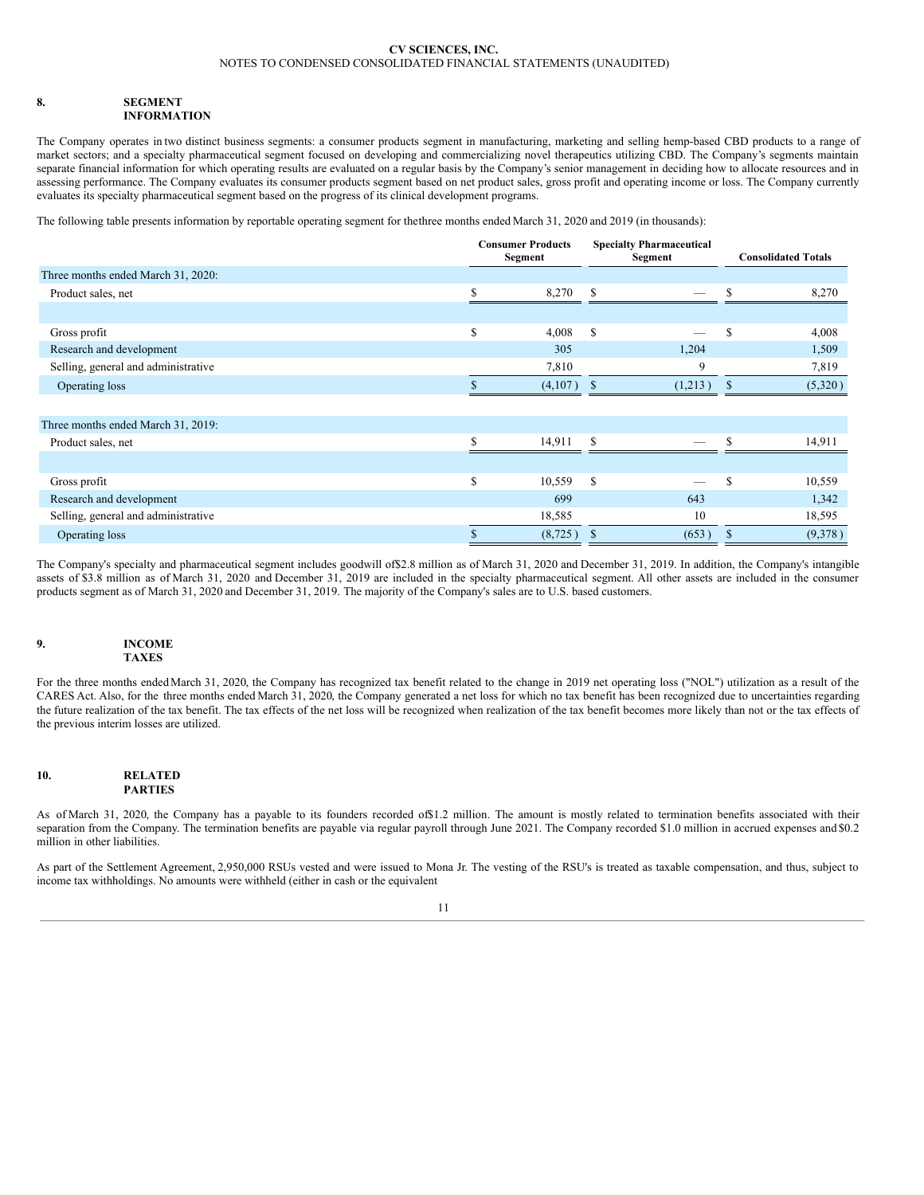#### **8. SEGMENT INFORMATION**

The Company operates in two distinct business segments: a consumer products segment in manufacturing, marketing and selling hemp-based CBD products to a range of market sectors; and a specialty pharmaceutical segment focused on developing and commercializing novel therapeutics utilizing CBD. The Company's segments maintain separate financial information for which operating results are evaluated on a regular basis by the Company's senior management in deciding how to allocate resources and in assessing performance. The Company evaluates its consumer products segment based on net product sales, gross profit and operating income or loss. The Company currently evaluates its specialty pharmaceutical segment based on the progress of its clinical development programs.

The following table presents information by reportable operating segment for thethree months ended March 31, 2020 and 2019 (in thousands):

|                                     |    | <b>Consumer Products</b><br>Segment |               | <b>Specialty Pharmaceutical</b><br>Segment |               | <b>Consolidated Totals</b> |
|-------------------------------------|----|-------------------------------------|---------------|--------------------------------------------|---------------|----------------------------|
| Three months ended March 31, 2020:  |    |                                     |               |                                            |               |                            |
| Product sales, net                  | S  | 8,270                               | S             |                                            | S             | 8,270                      |
|                                     |    |                                     |               |                                            |               |                            |
| Gross profit                        | \$ | 4,008                               | S             |                                            | S             | 4,008                      |
| Research and development            |    | 305                                 |               | 1,204                                      |               | 1,509                      |
| Selling, general and administrative |    | 7,810                               |               | 9                                          |               | 7,819                      |
| Operating loss                      |    | (4,107)                             | <sup>\$</sup> | (1,213)                                    | <sup>S</sup>  | (5,320)                    |
|                                     |    |                                     |               |                                            |               |                            |
| Three months ended March 31, 2019:  |    |                                     |               |                                            |               |                            |
| Product sales, net                  | S  | 14,911                              | S             |                                            | \$.           | 14,911                     |
|                                     |    |                                     |               |                                            |               |                            |
| Gross profit                        | \$ | 10,559                              | S             |                                            | S             | 10,559                     |
| Research and development            |    | 699                                 |               | 643                                        |               | 1,342                      |
| Selling, general and administrative |    | 18,585                              |               | 10                                         |               | 18,595                     |
| Operating loss                      | \$ | (8,725)                             | $\mathbb{S}$  | (653)                                      | <sup>\$</sup> | (9,378)                    |

The Company's specialty and pharmaceutical segment includes goodwill of\$2.8 million as of March 31, 2020 and December 31, 2019. In addition, the Company's intangible assets of \$3.8 million as of March 31, 2020 and December 31, 2019 are included in the specialty pharmaceutical segment. All other assets are included in the consumer products segment as of March 31, 2020 and December 31, 2019. The majority of the Company's sales are to U.S. based customers.

# **9. INCOME TAXES**

For the three months ended March 31, 2020, the Company has recognized tax benefit related to the change in 2019 net operating loss ("NOL") utilization as a result of the CARES Act. Also, for the three months ended March 31, 2020, the Company generated a net loss for which no tax benefit has been recognized due to uncertainties regarding the future realization of the tax benefit. The tax effects of the net loss will be recognized when realization of the tax benefit becomes more likely than not or the tax effects of the previous interim losses are utilized.

#### **10. RELATED PARTIES**

As of March 31, 2020, the Company has a payable to its founders recorded of\$1.2 million. The amount is mostly related to termination benefits associated with their separation from the Company. The termination benefits are payable via regular payroll through June 2021. The Company recorded \$1.0 million in accrued expenses and \$0.2 million in other liabilities.

As part of the Settlement Agreement, 2,950,000 RSUs vested and were issued to Mona Jr. The vesting of the RSU's is treated as taxable compensation, and thus, subject to income tax withholdings. No amounts were withheld (either in cash or the equivalent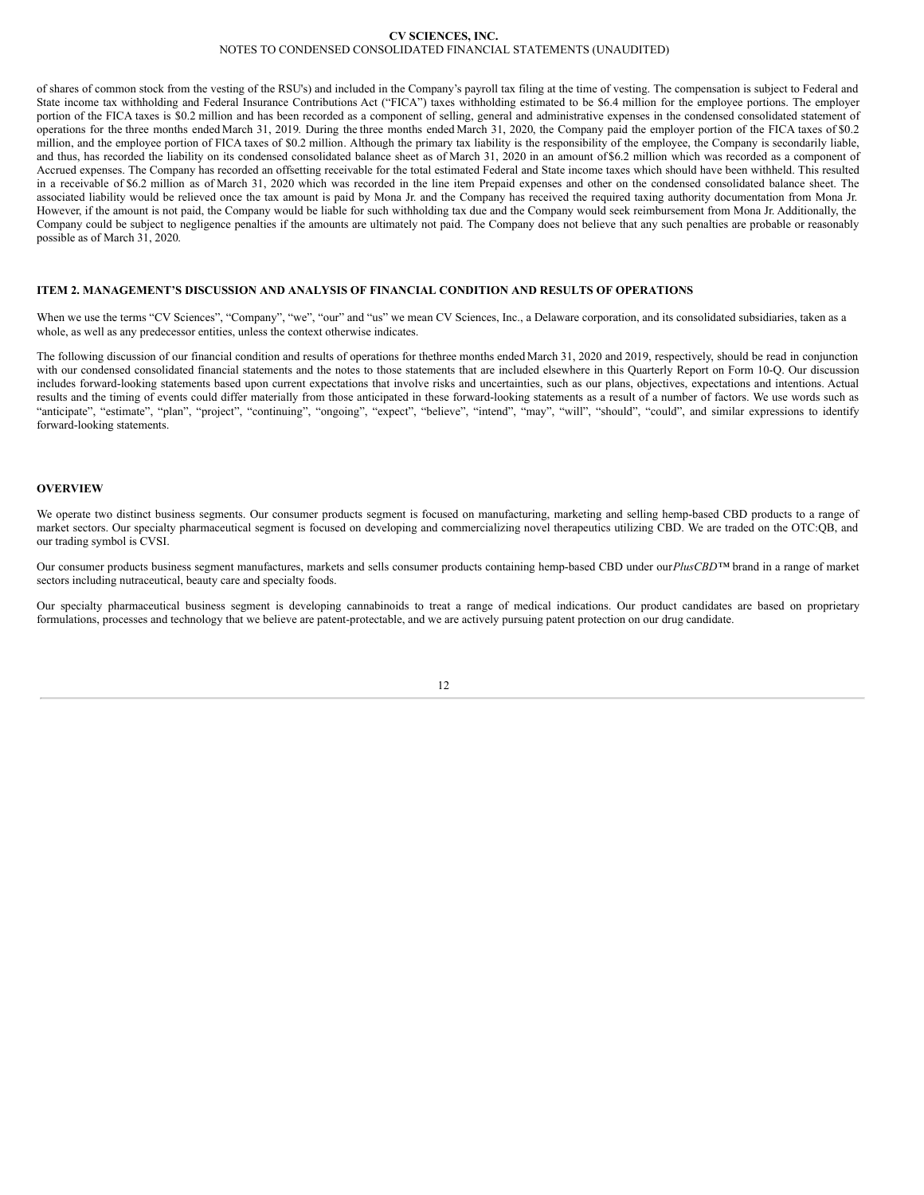of shares of common stock from the vesting of the RSU's) and included in the Company's payroll tax filing at the time of vesting. The compensation is subject to Federal and State income tax withholding and Federal Insurance Contributions Act ("FICA") taxes withholding estimated to be \$6.4 million for the employee portions. The employer portion of the FICA taxes is \$0.2 million and has been recorded as a component of selling, general and administrative expenses in the condensed consolidated statement of operations for the three months ended March 31, 2019. During the three months ended March 31, 2020, the Company paid the employer portion of the FICA taxes of \$0.2 million, and the employee portion of FICA taxes of \$0.2 million. Although the primary tax liability is the responsibility of the employee, the Company is secondarily liable, and thus, has recorded the liability on its condensed consolidated balance sheet as of March 31, 2020 in an amount of \$6.2 million which was recorded as a component of Accrued expenses. The Company has recorded an offsetting receivable for the total estimated Federal and State income taxes which should have been withheld. This resulted in a receivable of \$6.2 million as of March 31, 2020 which was recorded in the line item Prepaid expenses and other on the condensed consolidated balance sheet. The associated liability would be relieved once the tax amount is paid by Mona Jr. and the Company has received the required taxing authority documentation from Mona Jr. However, if the amount is not paid, the Company would be liable for such withholding tax due and the Company would seek reimbursement from Mona Jr. Additionally, the Company could be subject to negligence penalties if the amounts are ultimately not paid. The Company does not believe that any such penalties are probable or reasonably possible as of March 31, 2020.

#### <span id="page-13-0"></span>**ITEM 2. MANAGEMENT'S DISCUSSION AND ANALYSIS OF FINANCIAL CONDITION AND RESULTS OF OPERATIONS**

When we use the terms "CV Sciences", "Company", "we", "our" and "us" we mean CV Sciences, Inc., a Delaware corporation, and its consolidated subsidiaries, taken as a whole, as well as any predecessor entities, unless the context otherwise indicates.

The following discussion of our financial condition and results of operations for thethree months ended March 31, 2020 and 2019, respectively, should be read in conjunction with our condensed consolidated financial statements and the notes to those statements that are included elsewhere in this Quarterly Report on Form 10-Q. Our discussion includes forward-looking statements based upon current expectations that involve risks and uncertainties, such as our plans, objectives, expectations and intentions. Actual results and the timing of events could differ materially from those anticipated in these forward-looking statements as a result of a number of factors. We use words such as "anticipate", "estimate", "plan", "project", "continuing", "ongoing", "expect", "believe", "intend", "may", "will", "should", "could", and similar expressions to identify forward-looking statements.

#### **OVERVIEW**

We operate two distinct business segments. Our consumer products segment is focused on manufacturing, marketing and selling hemp-based CBD products to a range of market sectors. Our specialty pharmaceutical segment is focused on developing and commercializing novel therapeutics utilizing CBD. We are traded on the OTC:QB, and our trading symbol is CVSI.

Our consumer products business segment manufactures, markets and sells consumer products containing hemp-based CBD under our*PlusCBD™* brand in a range of market sectors including nutraceutical, beauty care and specialty foods.

Our specialty pharmaceutical business segment is developing cannabinoids to treat a range of medical indications. Our product candidates are based on proprietary formulations, processes and technology that we believe are patent-protectable, and we are actively pursuing patent protection on our drug candidate.

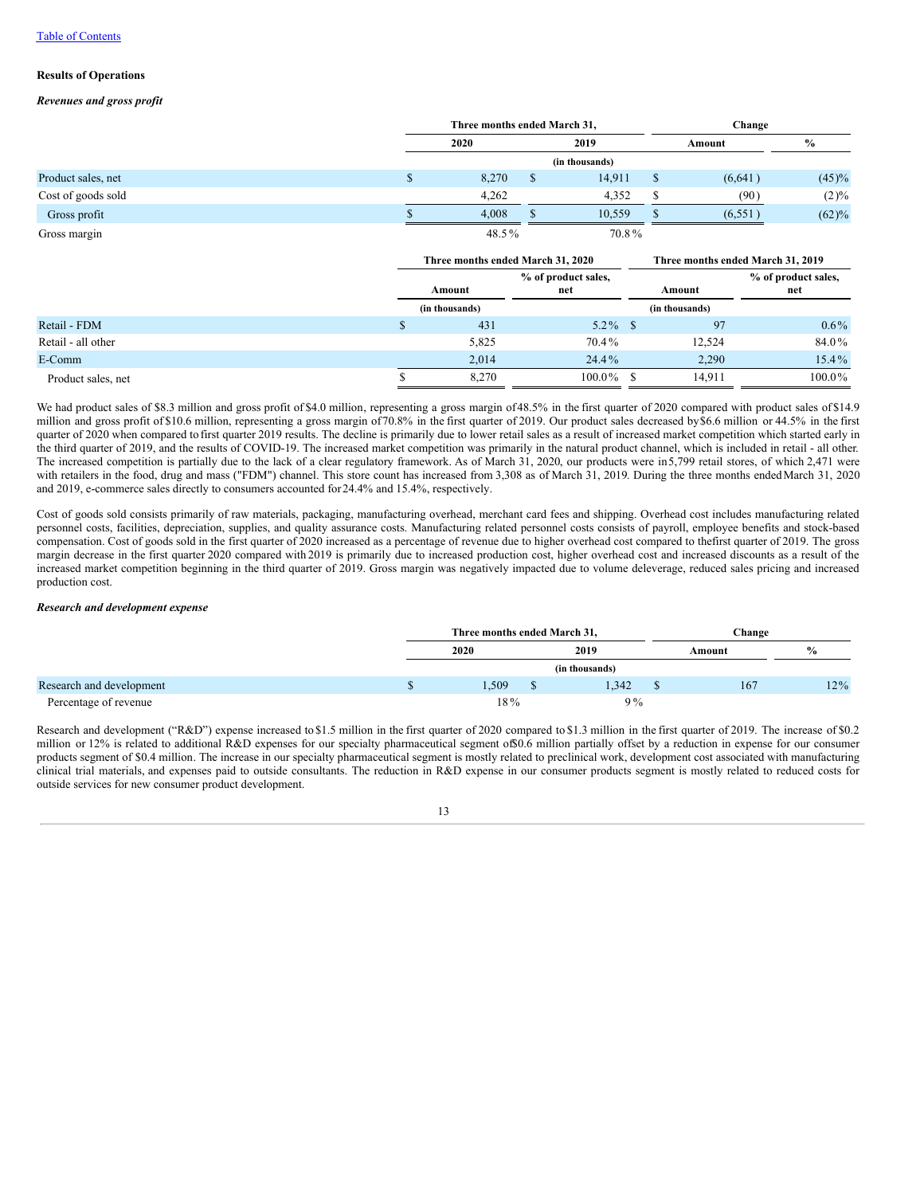#### **Results of Operations**

### *Revenues and gross profit*

|                    | Three months ended March 31, |  | Change |  |          |               |  |  |  |  |  |
|--------------------|------------------------------|--|--------|--|----------|---------------|--|--|--|--|--|
|                    | 2020                         |  | 2019   |  | Amount   | $\frac{0}{0}$ |  |  |  |  |  |
|                    | (in thousands)               |  |        |  |          |               |  |  |  |  |  |
| Product sales, net | 8,270                        |  | 14,911 |  | (6,641)  | $(45)\%$      |  |  |  |  |  |
| Cost of goods sold | 4,262                        |  | 4,352  |  | (90)     | $(2)\%$       |  |  |  |  |  |
| Gross profit       | 4,008                        |  | 10.559 |  | (6, 551) | (62)%         |  |  |  |  |  |
| Gross margin       | 48.5%                        |  | 70.8%  |  |          |               |  |  |  |  |  |

|                    |  |                | Three months ended March 31, 2020 | Three months ended March 31, 2019 |                            |  |  |  |
|--------------------|--|----------------|-----------------------------------|-----------------------------------|----------------------------|--|--|--|
|                    |  | Amount         | % of product sales,<br>net        | Amount                            | % of product sales,<br>net |  |  |  |
|                    |  | (in thousands) |                                   | (in thousands)                    |                            |  |  |  |
| Retail - FDM       |  | 431            | $5.2\%$ \$                        | 97                                | $0.6\%$                    |  |  |  |
| Retail - all other |  | 5,825          | 70.4%                             | 12.524                            | 84.0%                      |  |  |  |
| E-Comm             |  | 2.014          | $24.4\%$                          | 2.290                             | $15.4\%$                   |  |  |  |
| Product sales, net |  | 8,270          | $100.0\%$ \$                      | 14,911                            | $100.0\%$                  |  |  |  |

We had product sales of \$8.3 million and gross profit of \$4.0 million, representing a gross margin of48.5% in the first quarter of 2020 compared with product sales of \$14.9 million and gross profit of \$10.6 million, representing a gross margin of70.8% in the first quarter of 2019. Our product sales decreased by\$6.6 million or 44.5% in the first quarter of 2020 when compared to first quarter 2019 results. The decline is primarily due to lower retail sales as a result of increased market competition which started early in the third quarter of 2019, and the results of COVID-19. The increased market competition was primarily in the natural product channel, which is included in retail - all other. The increased competition is partially due to the lack of a clear regulatory framework. As of March 31, 2020, our products were in5,799 retail stores, of which 2,471 were with retailers in the food, drug and mass ("FDM") channel. This store count has increased from 3,308 as of March 31, 2019. During the three months ended March 31, 2020 and 2019, e-commerce sales directly to consumers accounted for24.4% and 15.4%, respectively.

Cost of goods sold consists primarily of raw materials, packaging, manufacturing overhead, merchant card fees and shipping. Overhead cost includes manufacturing related personnel costs, facilities, depreciation, supplies, and quality assurance costs. Manufacturing related personnel costs consists of payroll, employee benefits and stock-based compensation. Cost of goods sold in the first quarter of 2020 increased as a percentage of revenue due to higher overhead cost compared to thefirst quarter of 2019. The gross margin decrease in the first quarter 2020 compared with 2019 is primarily due to increased production cost, higher overhead cost and increased discounts as a result of the increased market competition beginning in the third quarter of 2019. Gross margin was negatively impacted due to volume deleverage, reduced sales pricing and increased production cost.

#### *Research and development expense*

|                          | Three months ended March 31, |                | Change |        |               |  |
|--------------------------|------------------------------|----------------|--------|--------|---------------|--|
|                          | 2020                         | 2019           |        | Amount | $\frac{6}{6}$ |  |
|                          |                              | (in thousands) |        |        |               |  |
| Research and development | 1,509                        | .342           |        | 167    | 12%           |  |
| Percentage of revenue    | 18%                          | $9\%$          |        |        |               |  |

Research and development ("R&D") expense increased to \$1.5 million in the first quarter of 2020 compared to \$1.3 million in the first quarter of 2019. The increase of \$0.2 million or 12% is related to additional R&D expenses for our specialty pharmaceutical segment of \$0.6 million partially offset by a reduction in expense for our consumer products segment of \$0.4 million. The increase in our specialty pharmaceutical segment is mostly related to preclinical work, development cost associated with manufacturing clinical trial materials, and expenses paid to outside consultants. The reduction in R&D expense in our consumer products segment is mostly related to reduced costs for outside services for new consumer product development.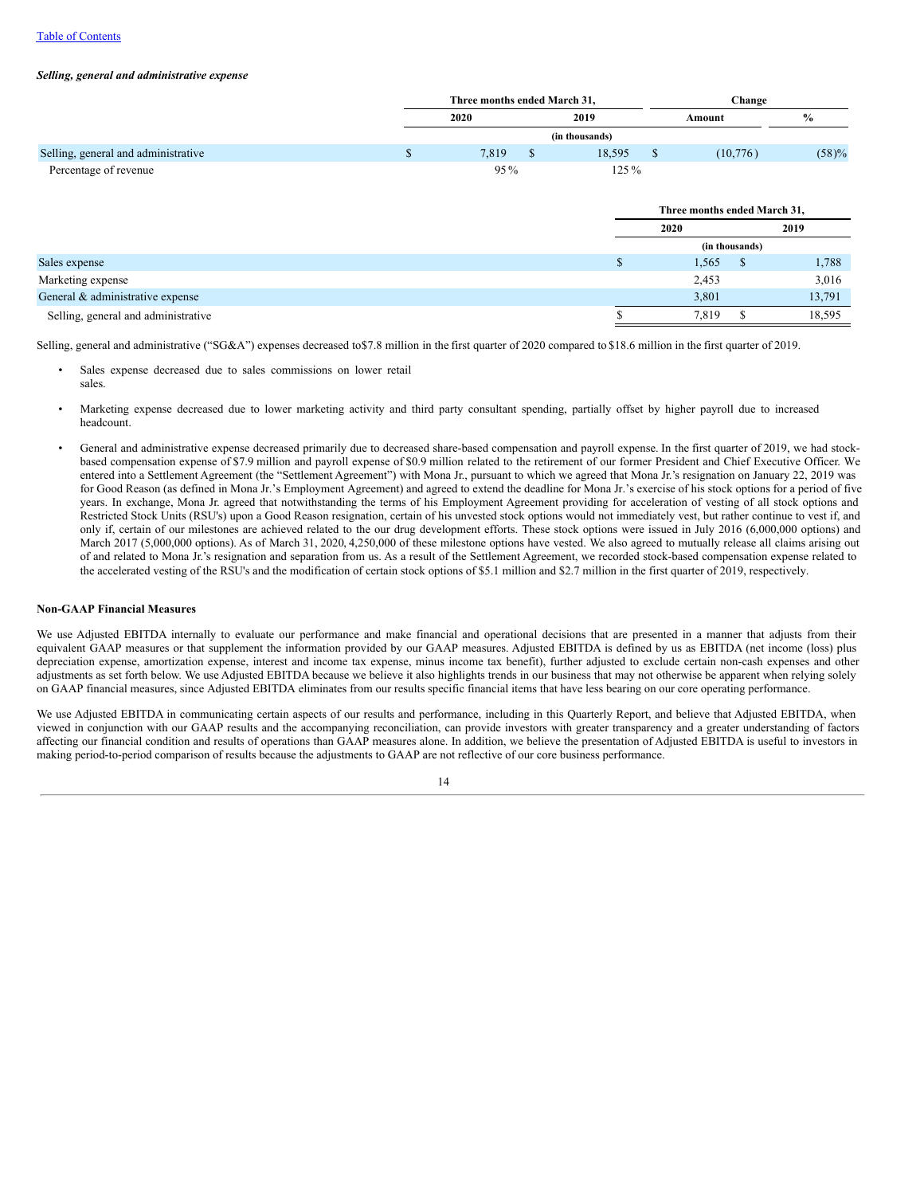#### *Selling, general and administrative expense*

|                                     | Three months ended March 31, |  | Change         |          |               |
|-------------------------------------|------------------------------|--|----------------|----------|---------------|
|                                     | 2020                         |  | 2019           | Amount   | $\frac{0}{0}$ |
|                                     |                              |  | (in thousands) |          |               |
| Selling, general and administrative | 7.819                        |  | 18.595         | (10,776) | (58)%         |
| Percentage of revenue               | $95\%$                       |  | $125\%$        |          |               |

|                                     |   | Three months ended March 31, |                |        |  |  |  |
|-------------------------------------|---|------------------------------|----------------|--------|--|--|--|
|                                     |   | 2020                         |                | 2019   |  |  |  |
|                                     |   |                              | (in thousands) |        |  |  |  |
| Sales expense                       | D | 1,565                        |                | 1,788  |  |  |  |
| Marketing expense                   |   | 2,453                        |                | 3,016  |  |  |  |
| General & administrative expense    |   | 3,801                        |                | 13,791 |  |  |  |
| Selling, general and administrative |   | 7,819                        |                | 18,595 |  |  |  |

Selling, general and administrative ("SG&A") expenses decreased to \$7.8 million in the first quarter of 2020 compared to \$18.6 million in the first quarter of 2019.

- Sales expense decreased due to sales commissions on lower retail sales.
- Marketing expense decreased due to lower marketing activity and third party consultant spending, partially offset by higher payroll due to increased headcount.
- General and administrative expense decreased primarily due to decreased share-based compensation and payroll expense. In the first quarter of 2019, we had stockbased compensation expense of \$7.9 million and payroll expense of \$0.9 million related to the retirement of our former President and Chief Executive Officer. We entered into a Settlement Agreement (the "Settlement Agreement") with Mona Jr., pursuant to which we agreed that Mona Jr.'s resignation on January 22, 2019 was for Good Reason (as defined in Mona Jr.'s Employment Agreement) and agreed to extend the deadline for Mona Jr.'s exercise of his stock options for a period of five years. In exchange, Mona Jr. agreed that notwithstanding the terms of his Employment Agreement providing for acceleration of vesting of all stock options and Restricted Stock Units (RSU's) upon a Good Reason resignation, certain of his unvested stock options would not immediately vest, but rather continue to vest if, and only if, certain of our milestones are achieved related to the our drug development efforts. These stock options were issued in July 2016 (6,000,000 options) and March 2017 (5,000,000 options). As of March 31, 2020, 4,250,000 of these milestone options have vested. We also agreed to mutually release all claims arising out of and related to Mona Jr.'s resignation and separation from us. As a result of the Settlement Agreement, we recorded stock-based compensation expense related to the accelerated vesting of the RSU's and the modification of certain stock options of \$5.1 million and \$2.7 million in the first quarter of 2019, respectively.

#### **Non-GAAP Financial Measures**

We use Adjusted EBITDA internally to evaluate our performance and make financial and operational decisions that are presented in a manner that adjusts from their equivalent GAAP measures or that supplement the information provided by our GAAP measures. Adjusted EBITDA is defined by us as EBITDA (net income (loss) plus depreciation expense, amortization expense, interest and income tax expense, minus income tax benefit), further adjusted to exclude certain non-cash expenses and other adjustments as set forth below. We use Adjusted EBITDA because we believe it also highlights trends in our business that may not otherwise be apparent when relying solely on GAAP financial measures, since Adjusted EBITDA eliminates from our results specific financial items that have less bearing on our core operating performance.

We use Adjusted EBITDA in communicating certain aspects of our results and performance, including in this Quarterly Report, and believe that Adjusted EBITDA, when viewed in conjunction with our GAAP results and the accompanying reconciliation, can provide investors with greater transparency and a greater understanding of factors affecting our financial condition and results of operations than GAAP measures alone. In addition, we believe the presentation of Adjusted EBITDA is useful to investors in making period-to-period comparison of results because the adjustments to GAAP are not reflective of our core business performance.

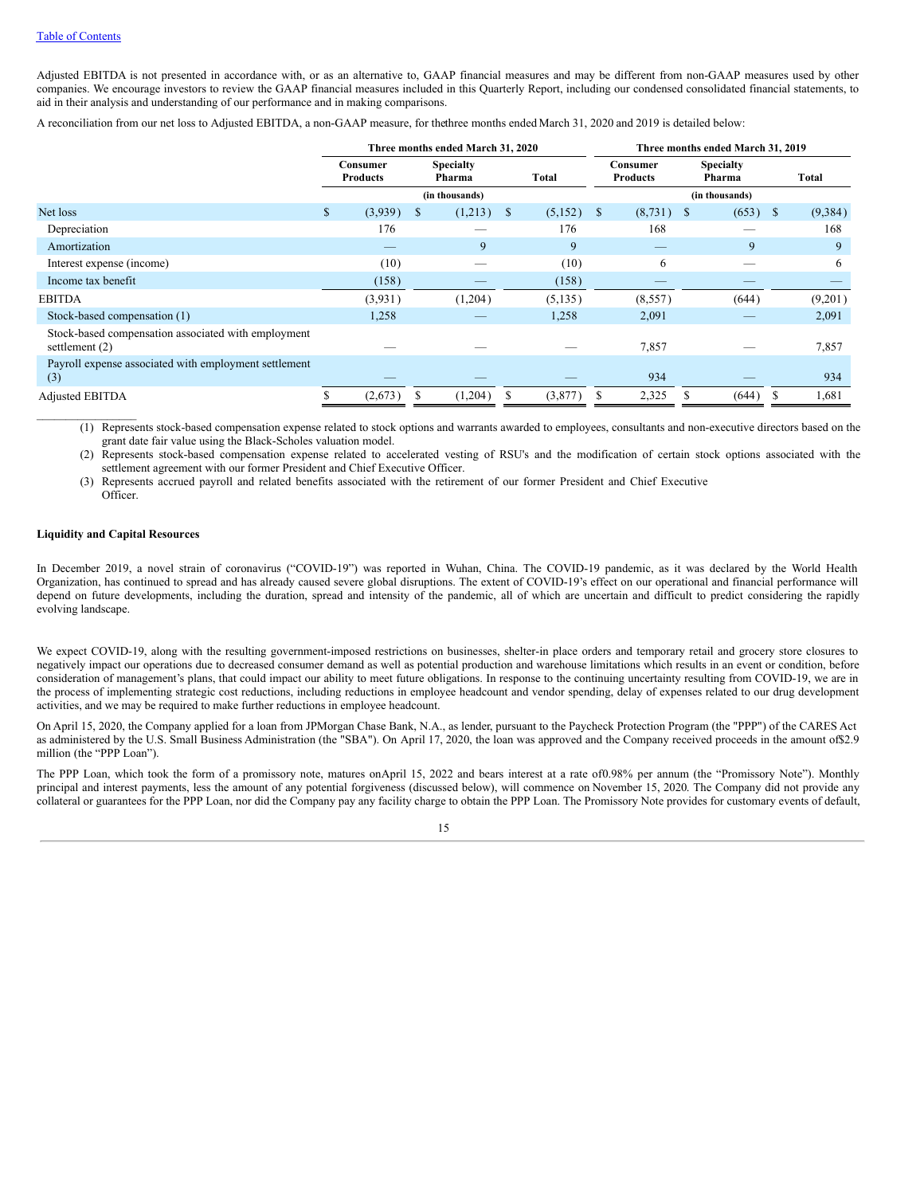Adjusted EBITDA is not presented in accordance with, or as an alternative to, GAAP financial measures and may be different from non-GAAP measures used by other companies. We encourage investors to review the GAAP financial measures included in this Quarterly Report, including our condensed consolidated financial statements, to aid in their analysis and understanding of our performance and in making comparisons.

A reconciliation from our net loss to Adjusted EBITDA, a non-GAAP measure, for thethree months ended March 31, 2020 and 2019 is detailed below:

|                                                                         | Three months ended March 31, 2020                         |         |    |         |               |                             |                | Three months ended March 31, 2019 |  |              |    |         |  |
|-------------------------------------------------------------------------|-----------------------------------------------------------|---------|----|---------|---------------|-----------------------------|----------------|-----------------------------------|--|--------------|----|---------|--|
|                                                                         | <b>Specialty</b><br>Consumer<br><b>Products</b><br>Pharma |         |    | Total   |               | Consumer<br><b>Products</b> |                | <b>Specialty</b><br>Pharma        |  | <b>Total</b> |    |         |  |
|                                                                         | (in thousands)                                            |         |    |         |               |                             | (in thousands) |                                   |  |              |    |         |  |
| Net loss                                                                | $\mathbb{S}$                                              | (3,939) | \$ | (1,213) | <sup>\$</sup> | (5,152)                     | - \$           | $(8,731)$ \$                      |  | $(653)$ \$   |    | (9,384) |  |
| Depreciation                                                            |                                                           | 176     |    |         |               | 176                         |                | 168                               |  |              |    | 168     |  |
| Amortization                                                            |                                                           |         |    | 9       |               | 9                           |                |                                   |  | 9            |    | 9       |  |
| Interest expense (income)                                               |                                                           | (10)    |    |         |               | (10)                        |                | 6                                 |  |              |    | 6       |  |
| Income tax benefit                                                      |                                                           | (158)   |    |         |               | (158)                       |                |                                   |  |              |    |         |  |
| <b>EBITDA</b>                                                           |                                                           | (3,931) |    | (1,204) |               | (5, 135)                    |                | (8, 557)                          |  | (644)        |    | (9,201) |  |
| Stock-based compensation (1)                                            |                                                           | 1,258   |    |         |               | 1,258                       |                | 2,091                             |  |              |    | 2,091   |  |
| Stock-based compensation associated with employment<br>settlement $(2)$ |                                                           |         |    |         |               |                             |                | 7,857                             |  |              |    | 7,857   |  |
| Payroll expense associated with employment settlement<br>(3)            |                                                           |         |    |         |               |                             |                | 934                               |  |              |    | 934     |  |
| <b>Adjusted EBITDA</b>                                                  | S                                                         | (2,673) |    | (1,204) | S             | (3,877)                     | S              | 2,325                             |  | (644)        | -S | 1,681   |  |

(1) Represents stock-based compensation expense related to stock options and warrants awarded to employees, consultants and non-executive directors based on the grant date fair value using the Black-Scholes valuation model.

(2) Represents stock-based compensation expense related to accelerated vesting of RSU's and the modification of certain stock options associated with the settlement agreement with our former President and Chief Executive Officer.

(3) Represents accrued payroll and related benefits associated with the retirement of our former President and Chief Executive Officer.

## **Liquidity and Capital Resources**

 $\mathcal{L}=\mathcal{L}^{\mathcal{L}}$  , where  $\mathcal{L}^{\mathcal{L}}$ 

In December 2019, a novel strain of coronavirus ("COVID-19") was reported in Wuhan, China. The COVID-19 pandemic, as it was declared by the World Health Organization, has continued to spread and has already caused severe global disruptions. The extent of COVID-19's effect on our operational and financial performance will depend on future developments, including the duration, spread and intensity of the pandemic, all of which are uncertain and difficult to predict considering the rapidly evolving landscape.

We expect COVID-19, along with the resulting government-imposed restrictions on businesses, shelter-in place orders and temporary retail and grocery store closures to negatively impact our operations due to decreased consumer demand as well as potential production and warehouse limitations which results in an event or condition, before consideration of management's plans, that could impact our ability to meet future obligations. In response to the continuing uncertainty resulting from COVID-19, we are in the process of implementing strategic cost reductions, including reductions in employee headcount and vendor spending, delay of expenses related to our drug development activities, and we may be required to make further reductions in employee headcount.

On April 15, 2020, the Company applied for a loan from JPMorgan Chase Bank, N.A., as lender, pursuant to the Paycheck Protection Program (the "PPP") of the CARES Act as administered by the U.S. Small Business Administration (the "SBA"). On April 17, 2020, the loan was approved and the Company received proceeds in the amount of\$2.9 million (the "PPP Loan").

The PPP Loan, which took the form of a promissory note, matures onApril 15, 2022 and bears interest at a rate of0.98% per annum (the "Promissory Note"). Monthly principal and interest payments, less the amount of any potential forgiveness (discussed below), will commence on November 15, 2020. The Company did not provide any collateral or guarantees for the PPP Loan, nor did the Company pay any facility charge to obtain the PPP Loan. The Promissory Note provides for customary events of default,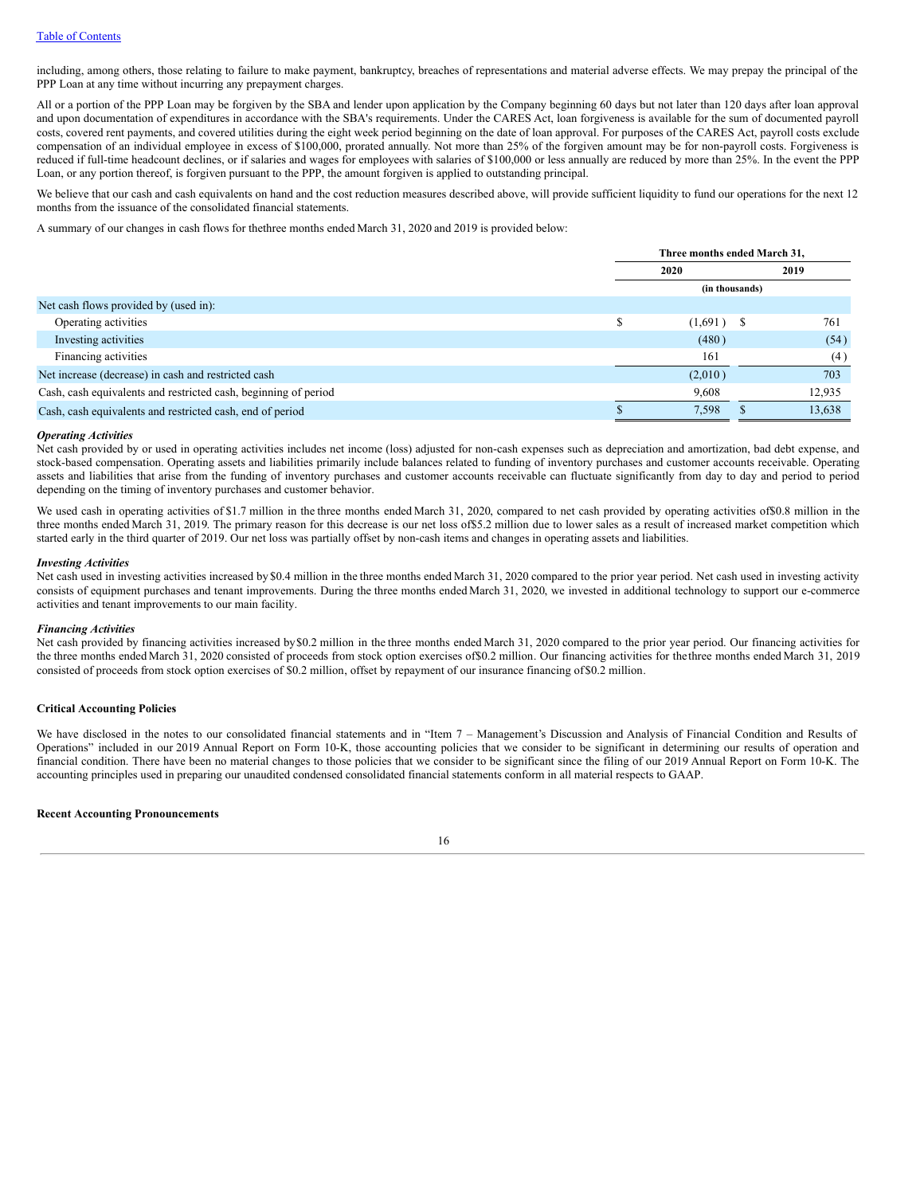including, among others, those relating to failure to make payment, bankruptcy, breaches of representations and material adverse effects. We may prepay the principal of the PPP Loan at any time without incurring any prepayment charges.

All or a portion of the PPP Loan may be forgiven by the SBA and lender upon application by the Company beginning 60 days but not later than 120 days after loan approval and upon documentation of expenditures in accordance with the SBA's requirements. Under the CARES Act, loan forgiveness is available for the sum of documented payroll costs, covered rent payments, and covered utilities during the eight week period beginning on the date of loan approval. For purposes of the CARES Act, payroll costs exclude compensation of an individual employee in excess of \$100,000, prorated annually. Not more than 25% of the forgiven amount may be for non-payroll costs. Forgiveness is reduced if full-time headcount declines, or if salaries and wages for employees with salaries of \$100,000 or less annually are reduced by more than 25%. In the event the PPP Loan, or any portion thereof, is forgiven pursuant to the PPP, the amount forgiven is applied to outstanding principal.

We believe that our cash and cash equivalents on hand and the cost reduction measures described above, will provide sufficient liquidity to fund our operations for the next 12 months from the issuance of the consolidated financial statements.

A summary of our changes in cash flows for thethree months ended March 31, 2020 and 2019 is provided below:

|                                                                 | Three months ended March 31, |  |        |
|-----------------------------------------------------------------|------------------------------|--|--------|
|                                                                 | 2020                         |  | 2019   |
|                                                                 | (in thousands)               |  |        |
| Net cash flows provided by (used in):                           |                              |  |        |
| Operating activities                                            | $(1,691)$ \$                 |  | 761    |
| Investing activities                                            | (480)                        |  | (54)   |
| Financing activities                                            | 161                          |  | (4)    |
| Net increase (decrease) in cash and restricted cash             | (2,010)                      |  | 703    |
| Cash, cash equivalents and restricted cash, beginning of period | 9,608                        |  | 12,935 |
| Cash, cash equivalents and restricted cash, end of period       | 7,598                        |  | 13,638 |

#### *Operating Activities*

Net cash provided by or used in operating activities includes net income (loss) adjusted for non-cash expenses such as depreciation and amortization, bad debt expense, and stock-based compensation. Operating assets and liabilities primarily include balances related to funding of inventory purchases and customer accounts receivable. Operating assets and liabilities that arise from the funding of inventory purchases and customer accounts receivable can fluctuate significantly from day to day and period to period depending on the timing of inventory purchases and customer behavior.

We used cash in operating activities of \$1.7 million in the three months ended March 31, 2020, compared to net cash provided by operating activities of \$0.8 million in the three months ended March 31, 2019. The primary reason for this decrease is our net loss of\$5.2 million due to lower sales as a result of increased market competition which started early in the third quarter of 2019. Our net loss was partially offset by non-cash items and changes in operating assets and liabilities.

#### *Investing Activities*

Net cash used in investing activities increased by \$0.4 million in the three months ended March 31, 2020 compared to the prior year period. Net cash used in investing activity consists of equipment purchases and tenant improvements. During the three months ended March 31, 2020, we invested in additional technology to support our e-commerce activities and tenant improvements to our main facility.

#### *Financing Activities*

Net cash provided by financing activities increased by \$0.2 million in the three months ended March 31, 2020 compared to the prior year period. Our financing activities for the three months ended March 31, 2020 consisted of proceeds from stock option exercises of\$0.2 million. Our financing activities for thethree months ended March 31, 2019 consisted of proceeds from stock option exercises of \$0.2 million, offset by repayment of our insurance financing of\$0.2 million.

#### **Critical Accounting Policies**

We have disclosed in the notes to our consolidated financial statements and in "Item 7 – Management's Discussion and Analysis of Financial Condition and Results of Operations" included in our 2019 Annual Report on Form 10-K, those accounting policies that we consider to be significant in determining our results of operation and financial condition. There have been no material changes to those policies that we consider to be significant since the filing of our 2019 Annual Report on Form 10-K. The accounting principles used in preparing our unaudited condensed consolidated financial statements conform in all material respects to GAAP.

#### **Recent Accounting Pronouncements**

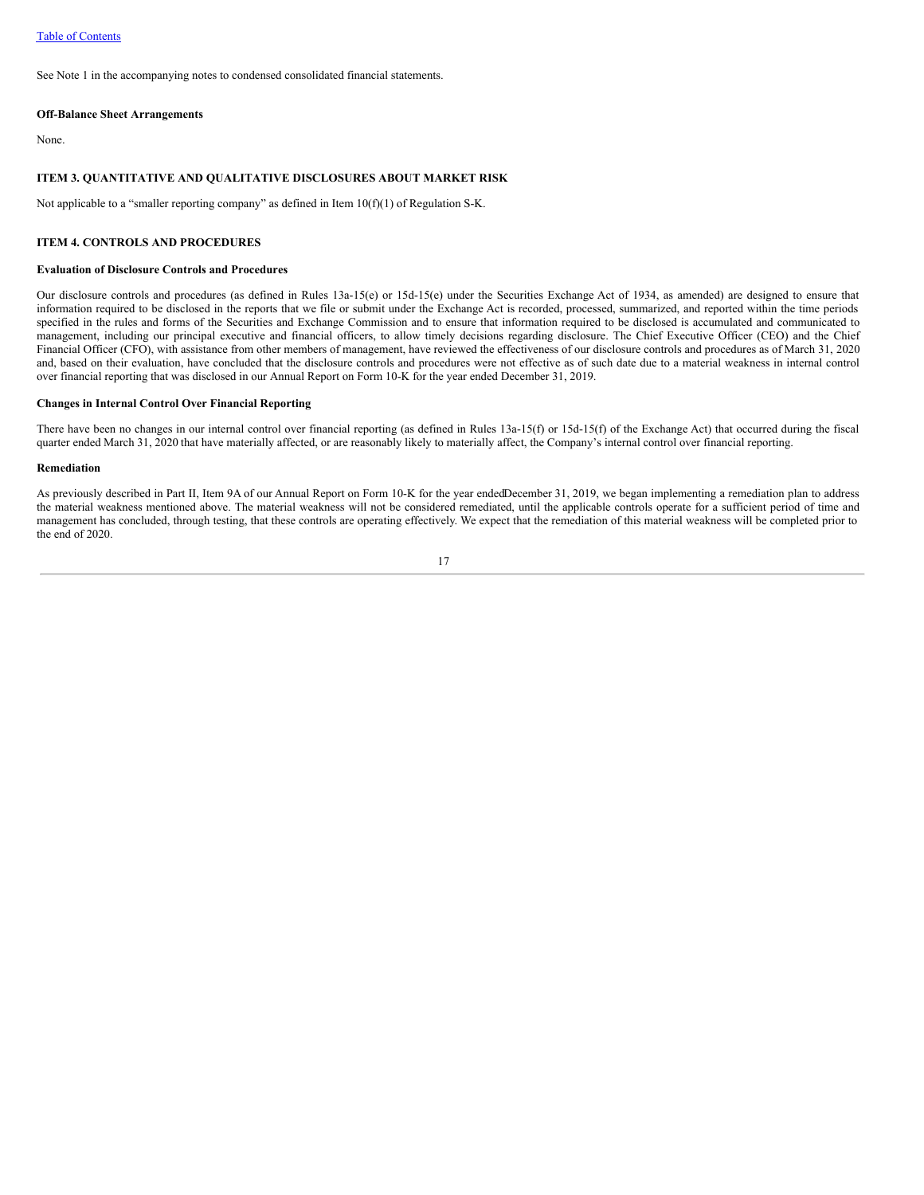See Note 1 in the accompanying notes to condensed consolidated financial statements.

## **Off-Balance Sheet Arrangements**

<span id="page-18-0"></span>None.

#### **ITEM 3. QUANTITATIVE AND QUALITATIVE DISCLOSURES ABOUT MARKET RISK**

<span id="page-18-1"></span>Not applicable to a "smaller reporting company" as defined in Item 10(f)(1) of Regulation S-K.

#### **ITEM 4. CONTROLS AND PROCEDURES**

#### **Evaluation of Disclosure Controls and Procedures**

Our disclosure controls and procedures (as defined in Rules 13a-15(e) or 15d-15(e) under the Securities Exchange Act of 1934, as amended) are designed to ensure that information required to be disclosed in the reports that we file or submit under the Exchange Act is recorded, processed, summarized, and reported within the time periods specified in the rules and forms of the Securities and Exchange Commission and to ensure that information required to be disclosed is accumulated and communicated to management, including our principal executive and financial officers, to allow timely decisions regarding disclosure. The Chief Executive Officer (CEO) and the Chief Financial Officer (CFO), with assistance from other members of management, have reviewed the effectiveness of our disclosure controls and procedures as of March 31, 2020 and, based on their evaluation, have concluded that the disclosure controls and procedures were not effective as of such date due to a material weakness in internal control over financial reporting that was disclosed in our Annual Report on Form 10-K for the year ended December 31, 2019.

# **Changes in Internal Control Over Financial Reporting**

There have been no changes in our internal control over financial reporting (as defined in Rules 13a-15(f) or 15d-15(f) of the Exchange Act) that occurred during the fiscal quarter ended March 31, 2020 that have materially affected, or are reasonably likely to materially affect, the Company's internal control over financial reporting.

#### **Remediation**

As previously described in Part II, Item 9A of our Annual Report on Form 10-K for the year endedDecember 31, 2019, we began implementing a remediation plan to address the material weakness mentioned above. The material weakness will not be considered remediated, until the applicable controls operate for a sufficient period of time and management has concluded, through testing, that these controls are operating effectively. We expect that the remediation of this material weakness will be completed prior to the end of 2020.

17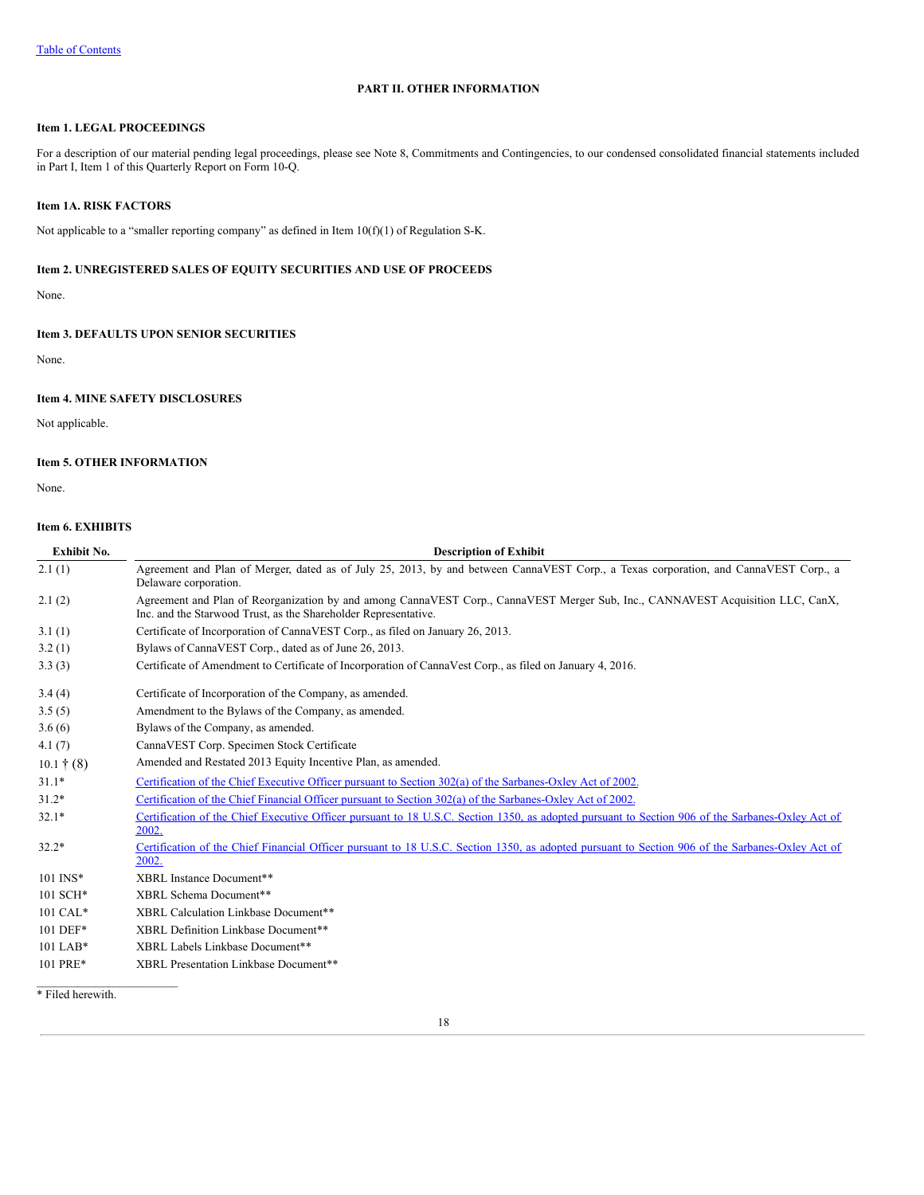# **PART II. OTHER INFORMATION**

# <span id="page-19-1"></span><span id="page-19-0"></span>**Item 1. LEGAL PROCEEDINGS**

For a description of our material pending legal proceedings, please see Note 8, Commitments and Contingencies, to our condensed consolidated financial statements included in Part I, Item 1 of this Quarterly Report on Form 10-Q.

# <span id="page-19-2"></span>**Item 1A. RISK FACTORS**

<span id="page-19-3"></span>Not applicable to a "smaller reporting company" as defined in Item 10(f)(1) of Regulation S-K.

# **Item 2. UNREGISTERED SALES OF EQUITY SECURITIES AND USE OF PROCEEDS**

<span id="page-19-4"></span>None.

## **Item 3. DEFAULTS UPON SENIOR SECURITIES**

<span id="page-19-5"></span>None.

# **Item 4. MINE SAFETY DISCLOSURES**

<span id="page-19-6"></span>Not applicable.

# **Item 5. OTHER INFORMATION**

<span id="page-19-7"></span>None.

# **Item 6. EXHIBITS**

| <b>Exhibit No.</b>        | <b>Description of Exhibit</b>                                                                                                                                                                      |
|---------------------------|----------------------------------------------------------------------------------------------------------------------------------------------------------------------------------------------------|
| 2.1(1)                    | Agreement and Plan of Merger, dated as of July 25, 2013, by and between CannaVEST Corp., a Texas corporation, and CannaVEST Corp., a<br>Delaware corporation.                                      |
| 2.1(2)                    | Agreement and Plan of Reorganization by and among CannaVEST Corp., CannaVEST Merger Sub, Inc., CANNAVEST Acquisition LLC, CanX,<br>Inc. and the Starwood Trust, as the Shareholder Representative. |
| 3.1(1)                    | Certificate of Incorporation of CannaVEST Corp., as filed on January 26, 2013.                                                                                                                     |
| 3.2(1)                    | Bylaws of CannaVEST Corp., dated as of June 26, 2013.                                                                                                                                              |
| 3.3(3)                    | Certificate of Amendment to Certificate of Incorporation of CannaVest Corp., as filed on January 4, 2016.                                                                                          |
| 3.4(4)                    | Certificate of Incorporation of the Company, as amended.                                                                                                                                           |
| 3.5(5)                    | Amendment to the Bylaws of the Company, as amended.                                                                                                                                                |
| 3.6(6)                    | Bylaws of the Company, as amended.                                                                                                                                                                 |
| 4.1(7)                    | CannaVEST Corp. Specimen Stock Certificate                                                                                                                                                         |
| $10.1 \; \text{t} \; (8)$ | Amended and Restated 2013 Equity Incentive Plan, as amended.                                                                                                                                       |
| $31.1*$                   | Certification of the Chief Executive Officer pursuant to Section 302(a) of the Sarbanes-Oxley Act of 2002.                                                                                         |
| $31.2*$                   | Certification of the Chief Financial Officer pursuant to Section 302(a) of the Sarbanes-Oxley Act of 2002.                                                                                         |
| $32.1*$                   | Certification of the Chief Executive Officer pursuant to 18 U.S.C. Section 1350, as adopted pursuant to Section 906 of the Sarbanes-Oxley Act of<br>2002.                                          |
| $32.2*$                   | Certification of the Chief Financial Officer pursuant to 18 U.S.C. Section 1350, as adopted pursuant to Section 906 of the Sarbanes-Oxley Act of<br>2002.                                          |
| 101 INS*                  | XBRL Instance Document**                                                                                                                                                                           |
| 101 SCH*                  | XBRL Schema Document**                                                                                                                                                                             |
| 101 CAL*                  | XBRL Calculation Linkbase Document**                                                                                                                                                               |
| 101 DEF*                  | XBRL Definition Linkbase Document**                                                                                                                                                                |
| 101 LAB*                  | XBRL Labels Linkbase Document**                                                                                                                                                                    |
| 101 PRE*                  | XBRL Presentation Linkbase Document**                                                                                                                                                              |
|                           |                                                                                                                                                                                                    |

\* Filed herewith.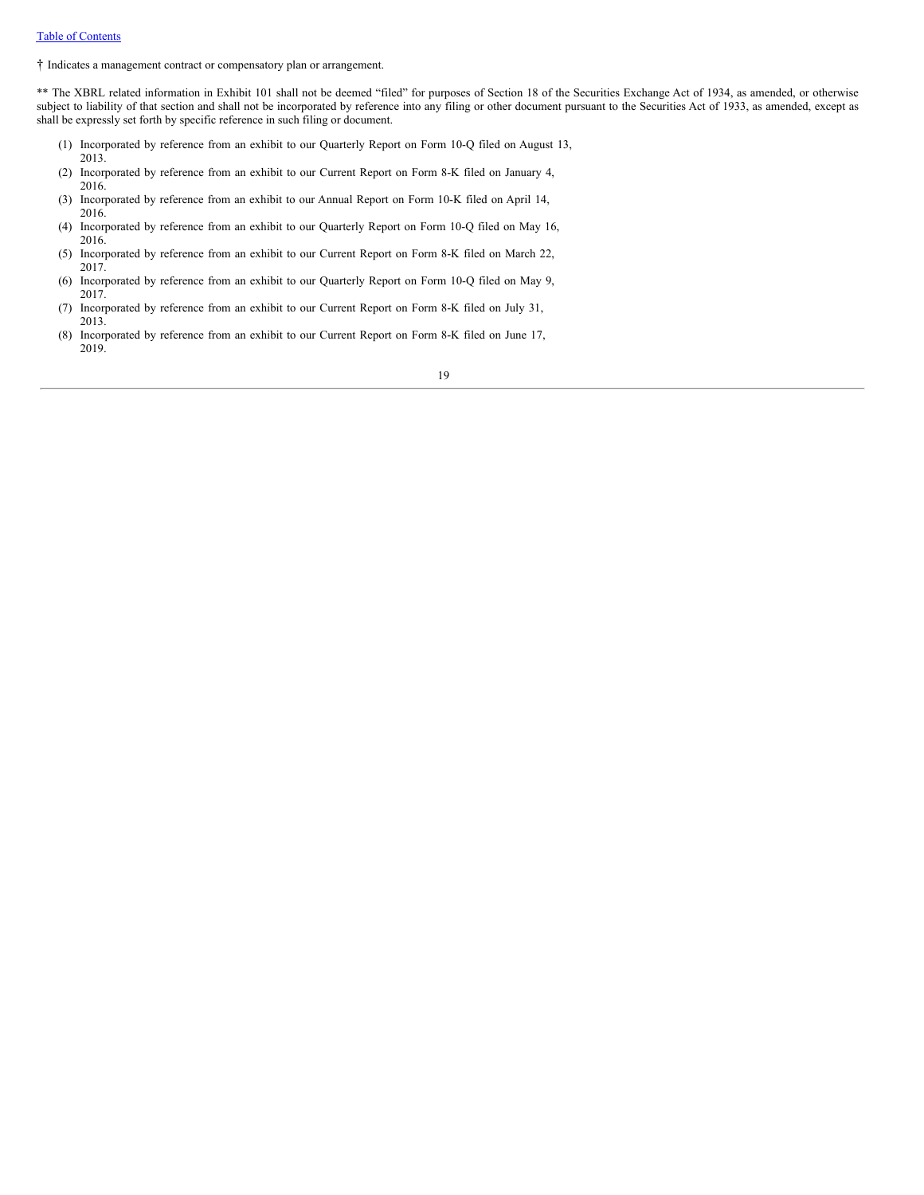† Indicates a management contract or compensatory plan or arrangement.

\*\* The XBRL related information in Exhibit 101 shall not be deemed "filed" for purposes of Section 18 of the Securities Exchange Act of 1934, as amended, or otherwise subject to liability of that section and shall not be incorporated by reference into any filing or other document pursuant to the Securities Act of 1933, as amended, except as shall be expressly set forth by specific reference in such filing or document.

- (1) Incorporated by reference from an exhibit to our Quarterly Report on Form 10-Q filed on August 13, 2013.
- (2) Incorporated by reference from an exhibit to our Current Report on Form 8-K filed on January 4, 2016.
- (3) Incorporated by reference from an exhibit to our Annual Report on Form 10-K filed on April 14, 2016.
- (4) Incorporated by reference from an exhibit to our Quarterly Report on Form 10-Q filed on May 16, 2016.
- (5) Incorporated by reference from an exhibit to our Current Report on Form 8-K filed on March 22, 2017.
- (6) Incorporated by reference from an exhibit to our Quarterly Report on Form 10-Q filed on May 9, 2017.
- (7) Incorporated by reference from an exhibit to our Current Report on Form 8-K filed on July 31, 2013.
- (8) Incorporated by reference from an exhibit to our Current Report on Form 8-K filed on June 17, 2019.

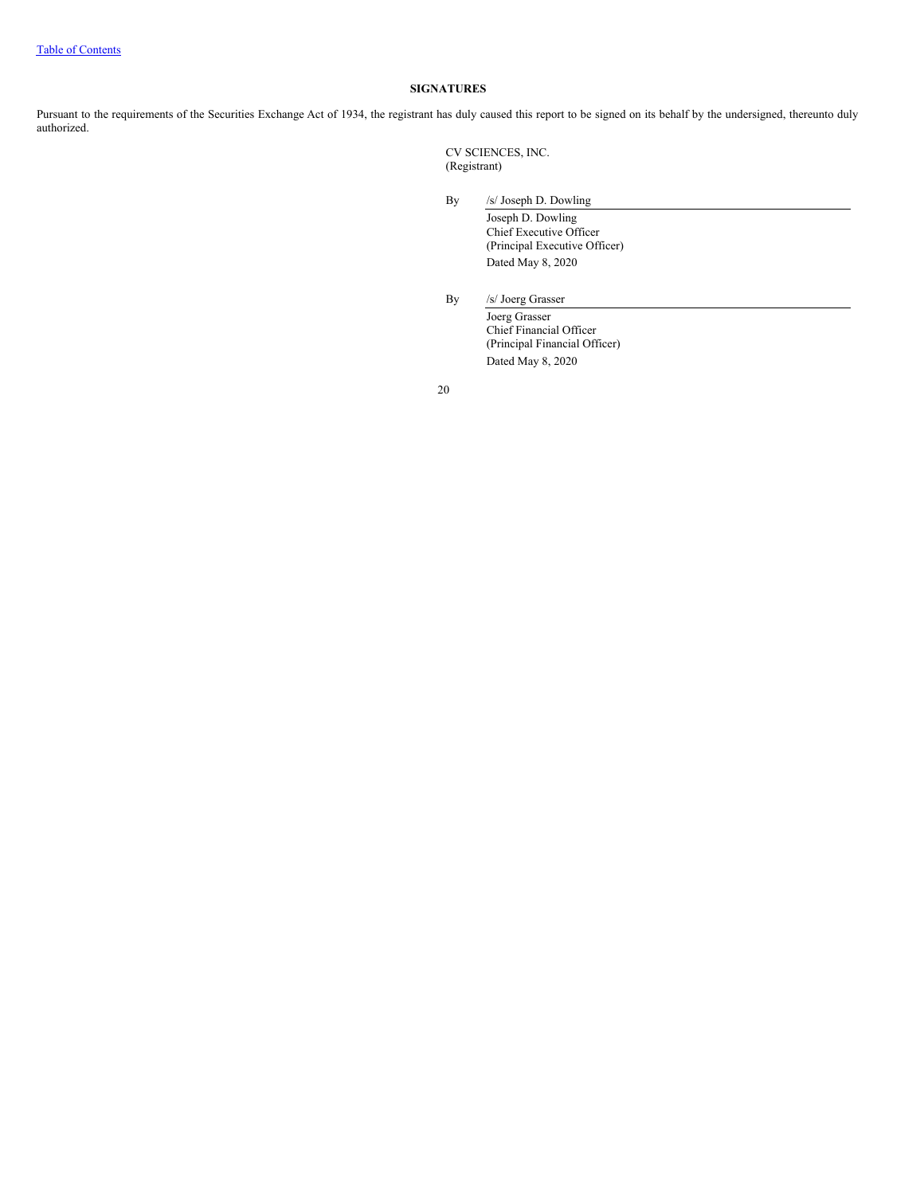# **SIGNATURES**

<span id="page-21-0"></span>Pursuant to the requirements of the Securities Exchange Act of 1934, the registrant has duly caused this report to be signed on its behalf by the undersigned, thereunto duly authorized.

> CV SCIENCES, INC. (Registrant)

By /s/ Joseph D. Dowling

Joseph D. Dowling Chief Executive Officer (Principal Executive Officer) Dated May 8, 2020

By /s/ Joerg Grasser

Joerg Grasser Chief Financial Officer (Principal Financial Officer) Dated May 8, 2020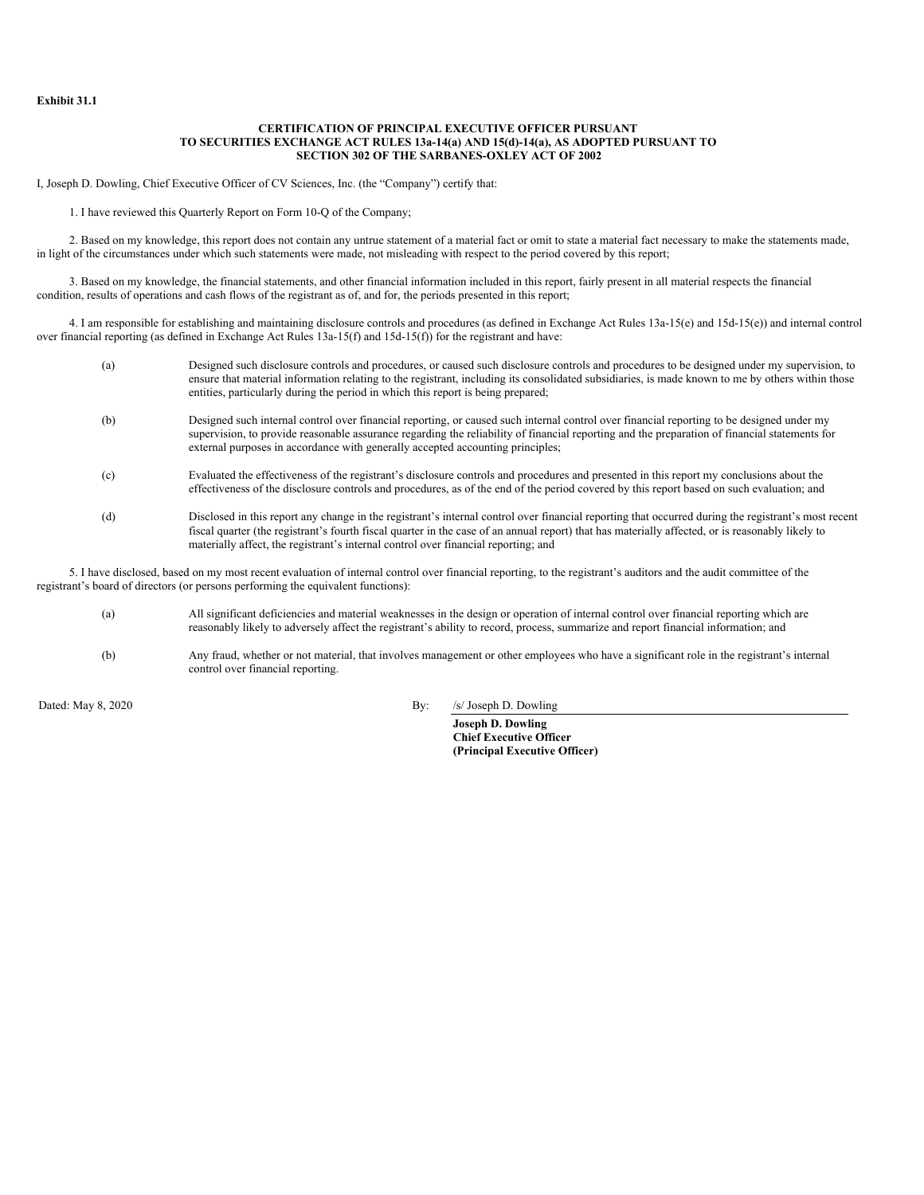#### **CERTIFICATION OF PRINCIPAL EXECUTIVE OFFICER PURSUANT TO SECURITIES EXCHANGE ACT RULES 13a-14(a) AND 15(d)-14(a), AS ADOPTED PURSUANT TO SECTION 302 OF THE SARBANES-OXLEY ACT OF 2002**

<span id="page-22-0"></span>I, Joseph D. Dowling, Chief Executive Officer of CV Sciences, Inc. (the "Company") certify that:

1. I have reviewed this Quarterly Report on Form 10-Q of the Company;

2. Based on my knowledge, this report does not contain any untrue statement of a material fact or omit to state a material fact necessary to make the statements made, in light of the circumstances under which such statements were made, not misleading with respect to the period covered by this report;

3. Based on my knowledge, the financial statements, and other financial information included in this report, fairly present in all material respects the financial condition, results of operations and cash flows of the registrant as of, and for, the periods presented in this report;

4. I am responsible for establishing and maintaining disclosure controls and procedures (as defined in Exchange Act Rules 13a-15(e) and 15d-15(e)) and internal control over financial reporting (as defined in Exchange Act Rules 13a-15(f) and 15d-15(f)) for the registrant and have:

- (a) Designed such disclosure controls and procedures, or caused such disclosure controls and procedures to be designed under my supervision, to ensure that material information relating to the registrant, including its consolidated subsidiaries, is made known to me by others within those entities, particularly during the period in which this report is being prepared;
- (b) Designed such internal control over financial reporting, or caused such internal control over financial reporting to be designed under my supervision, to provide reasonable assurance regarding the reliability of financial reporting and the preparation of financial statements for external purposes in accordance with generally accepted accounting principles;
- (c) Evaluated the effectiveness of the registrant's disclosure controls and procedures and presented in this report my conclusions about the effectiveness of the disclosure controls and procedures, as of the end of the period covered by this report based on such evaluation; and
- (d) Disclosed in this report any change in the registrant's internal control over financial reporting that occurred during the registrant's most recent fiscal quarter (the registrant's fourth fiscal quarter in the case of an annual report) that has materially affected, or is reasonably likely to materially affect, the registrant's internal control over financial reporting; and

5. I have disclosed, based on my most recent evaluation of internal control over financial reporting, to the registrant's auditors and the audit committee of the registrant's board of directors (or persons performing the equivalent functions):

- (a) All significant deficiencies and material weaknesses in the design or operation of internal control over financial reporting which are reasonably likely to adversely affect the registrant's ability to record, process, summarize and report financial information; and
- (b) Any fraud, whether or not material, that involves management or other employees who have a significant role in the registrant's internal control over financial reporting.

Dated: May 8, 2020 By: /s/ Joseph D. Dowling

**Joseph D. Dowling Chief Executive Officer (Principal Executive Officer)**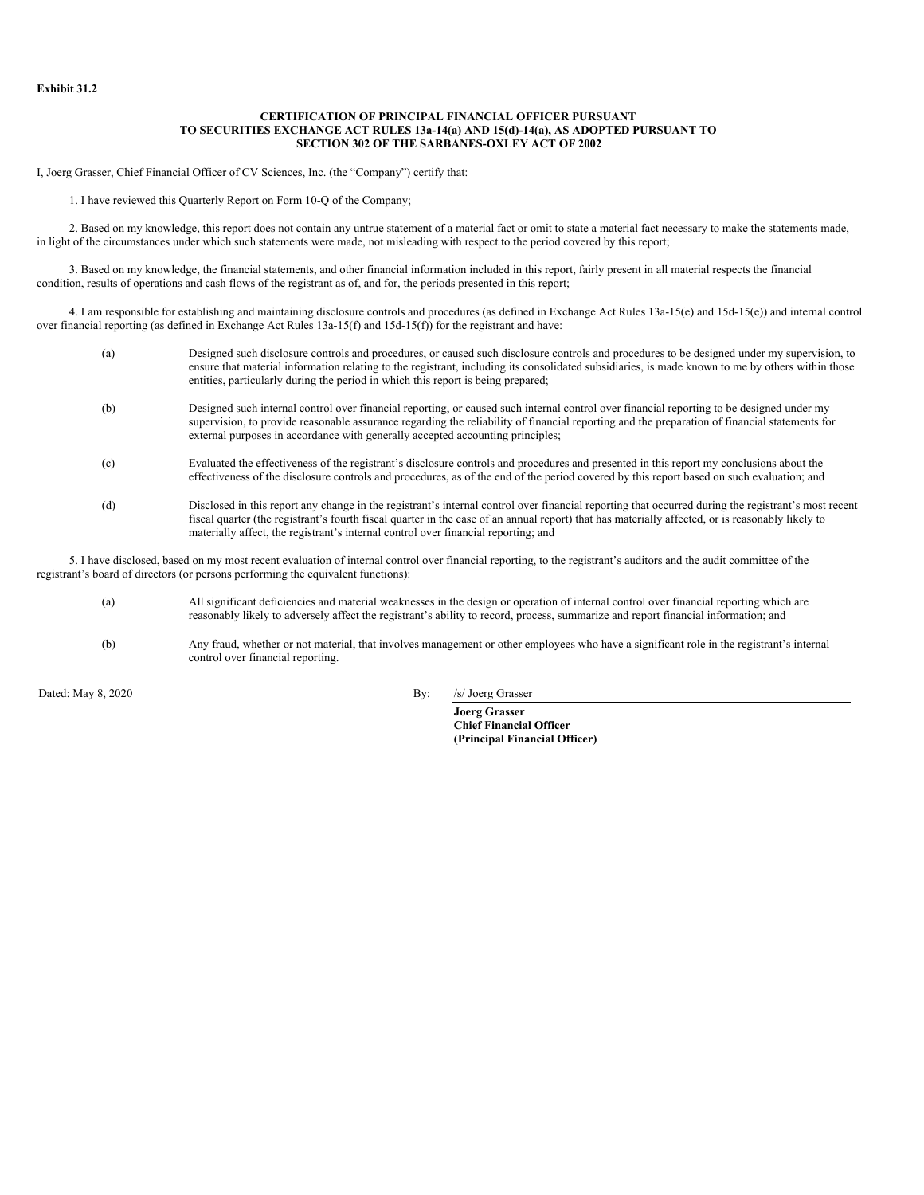## **CERTIFICATION OF PRINCIPAL FINANCIAL OFFICER PURSUANT TO SECURITIES EXCHANGE ACT RULES 13a-14(a) AND 15(d)-14(a), AS ADOPTED PURSUANT TO SECTION 302 OF THE SARBANES-OXLEY ACT OF 2002**

<span id="page-23-0"></span>I, Joerg Grasser, Chief Financial Officer of CV Sciences, Inc. (the "Company") certify that:

1. I have reviewed this Quarterly Report on Form 10-Q of the Company;

2. Based on my knowledge, this report does not contain any untrue statement of a material fact or omit to state a material fact necessary to make the statements made, in light of the circumstances under which such statements were made, not misleading with respect to the period covered by this report;

3. Based on my knowledge, the financial statements, and other financial information included in this report, fairly present in all material respects the financial condition, results of operations and cash flows of the registrant as of, and for, the periods presented in this report;

4. I am responsible for establishing and maintaining disclosure controls and procedures (as defined in Exchange Act Rules 13a-15(e) and 15d-15(e)) and internal control over financial reporting (as defined in Exchange Act Rules 13a-15(f) and 15d-15(f)) for the registrant and have:

- (a) Designed such disclosure controls and procedures, or caused such disclosure controls and procedures to be designed under my supervision, to ensure that material information relating to the registrant, including its consolidated subsidiaries, is made known to me by others within those entities, particularly during the period in which this report is being prepared;
- (b) Designed such internal control over financial reporting, or caused such internal control over financial reporting to be designed under my supervision, to provide reasonable assurance regarding the reliability of financial reporting and the preparation of financial statements for external purposes in accordance with generally accepted accounting principles;
- (c) Evaluated the effectiveness of the registrant's disclosure controls and procedures and presented in this report my conclusions about the effectiveness of the disclosure controls and procedures, as of the end of the period covered by this report based on such evaluation; and
- (d) Disclosed in this report any change in the registrant's internal control over financial reporting that occurred during the registrant's most recent fiscal quarter (the registrant's fourth fiscal quarter in the case of an annual report) that has materially affected, or is reasonably likely to materially affect, the registrant's internal control over financial reporting; and

5. I have disclosed, based on my most recent evaluation of internal control over financial reporting, to the registrant's auditors and the audit committee of the registrant's board of directors (or persons performing the equivalent functions):

- (a) All significant deficiencies and material weaknesses in the design or operation of internal control over financial reporting which are reasonably likely to adversely affect the registrant's ability to record, process, summarize and report financial information; and
- (b) Any fraud, whether or not material, that involves management or other employees who have a significant role in the registrant's internal control over financial reporting.

Dated: May 8, 2020 By: /s/ Joerg Grasser

**Joerg Grasser Chief Financial Officer (Principal Financial Officer)**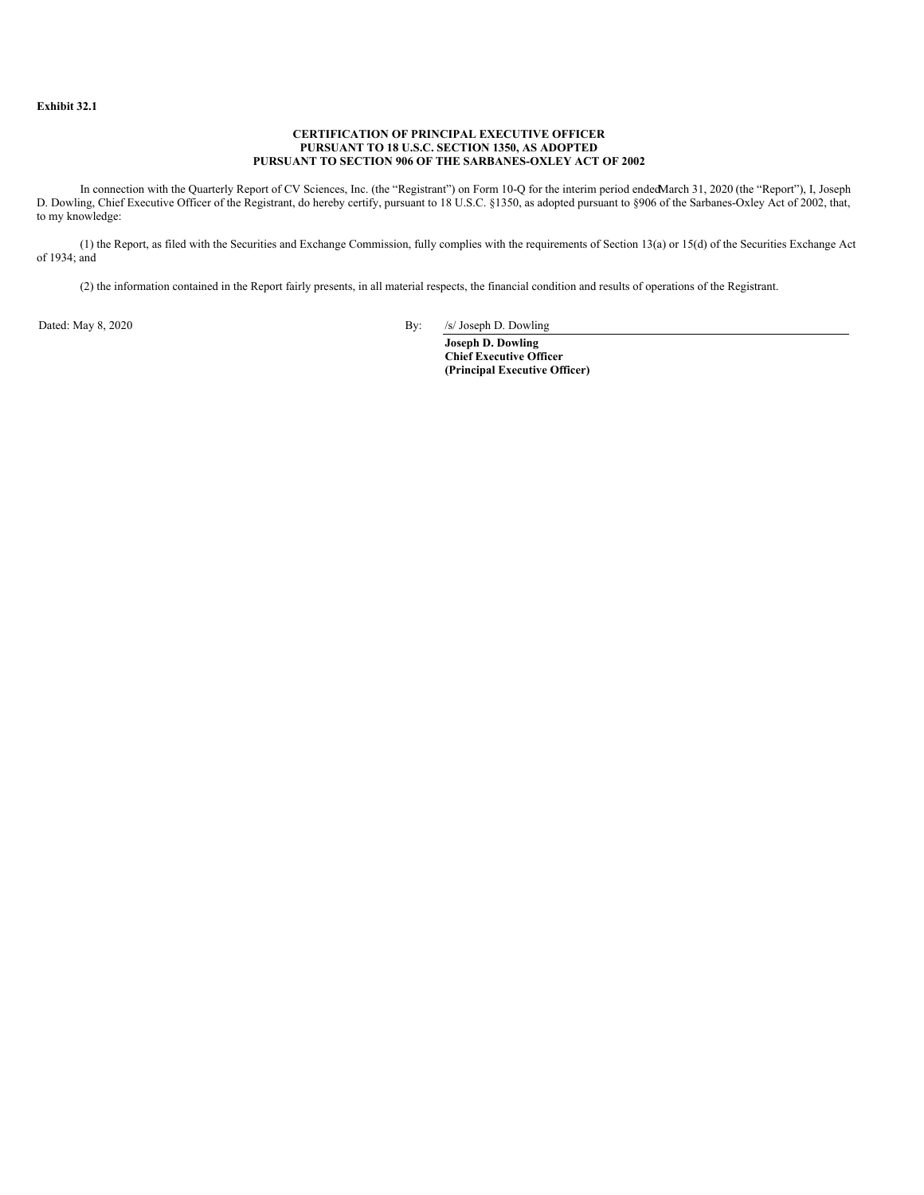## **CERTIFICATION OF PRINCIPAL EXECUTIVE OFFICER PURSUANT TO 18 U.S.C. SECTION 1350, AS ADOPTED PURSUANT TO SECTION 906 OF THE SARBANES-OXLEY ACT OF 2002**

<span id="page-24-0"></span>In connection with the Quarterly Report of CV Sciences, Inc. (the "Registrant") on Form 10-Q for the interim period endedMarch 31, 2020 (the "Report"), I, Joseph D. Dowling, Chief Executive Officer of the Registrant, do hereby certify, pursuant to 18 U.S.C. §1350, as adopted pursuant to §906 of the Sarbanes-Oxley Act of 2002, that, to my knowledge:

(1) the Report, as filed with the Securities and Exchange Commission, fully complies with the requirements of Section 13(a) or 15(d) of the Securities Exchange Act of 1934; and

(2) the information contained in the Report fairly presents, in all material respects, the financial condition and results of operations of the Registrant.

Dated: May 8, 2020 By: /s/ Joseph D. Dowling

**Joseph D. Dowling Chief Executive Officer (Principal Executive Officer)**